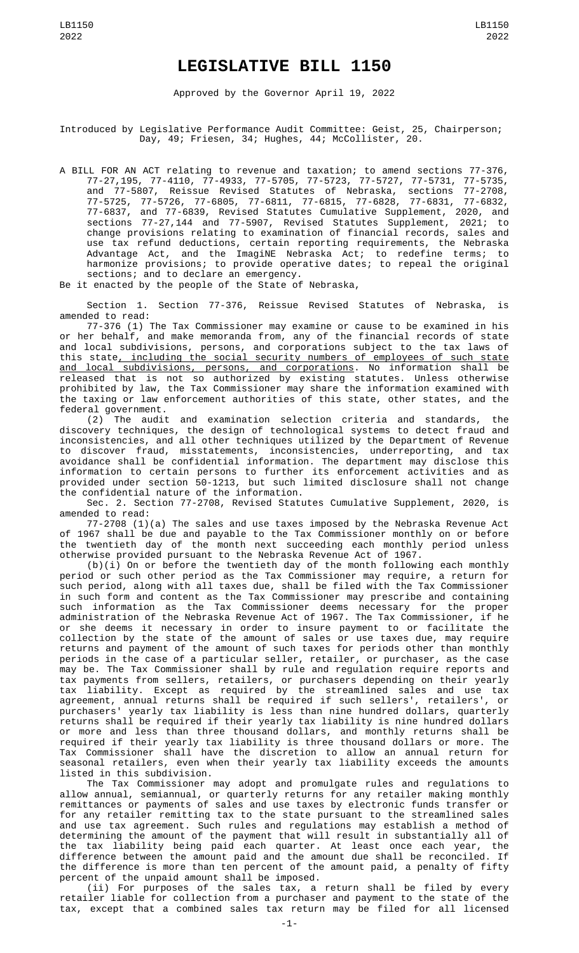## **LEGISLATIVE BILL 1150**

Approved by the Governor April 19, 2022

Introduced by Legislative Performance Audit Committee: Geist, 25, Chairperson; Day, 49; Friesen, 34; Hughes, 44; McCollister, 20.

A BILL FOR AN ACT relating to revenue and taxation; to amend sections 77-376, 77-27,195, 77-4110, 77-4933, 77-5705, 77-5723, 77-5727, 77-5731, 77-5735, and 77-5807, Reissue Revised Statutes of Nebraska, sections 77-2708, 77-5725, 77-5726, 77-6805, 77-6811, 77-6815, 77-6828, 77-6831, 77-6832, 77-6837, and 77-6839, Revised Statutes Cumulative Supplement, 2020, and sections 77-27,144 and 77-5907, Revised Statutes Supplement, 2021; to change provisions relating to examination of financial records, sales and use tax refund deductions, certain reporting requirements, the Nebraska Advantage Act, and the ImagiNE Nebraska Act; to redefine terms; to harmonize provisions; to provide operative dates; to repeal the original sections; and to declare an emergency.

Be it enacted by the people of the State of Nebraska,

Section 1. Section 77-376, Reissue Revised Statutes of Nebraska, is amended to read:

77-376 (1) The Tax Commissioner may examine or cause to be examined in his or her behalf, and make memoranda from, any of the financial records of state and local subdivisions, persons, and corporations subject to the tax laws of this state<u>, including the social security numbers of employees of such state</u> and local subdivisions, persons, and corporations. No information shall be released that is not so authorized by existing statutes. Unless otherwise prohibited by law, the Tax Commissioner may share the information examined with the taxing or law enforcement authorities of this state, other states, and the federal government.

(2) The audit and examination selection criteria and standards, the discovery techniques, the design of technological systems to detect fraud and inconsistencies, and all other techniques utilized by the Department of Revenue to discover fraud, misstatements, inconsistencies, underreporting, and tax avoidance shall be confidential information. The department may disclose this information to certain persons to further its enforcement activities and as provided under section 50-1213, but such limited disclosure shall not change the confidential nature of the information.

Sec. 2. Section 77-2708, Revised Statutes Cumulative Supplement, 2020, is amended to read:

77-2708 (1)(a) The sales and use taxes imposed by the Nebraska Revenue Act of 1967 shall be due and payable to the Tax Commissioner monthly on or before the twentieth day of the month next succeeding each monthly period unless otherwise provided pursuant to the Nebraska Revenue Act of 1967.

 $(b)(i)$  On or before the twentieth day of the month following each monthly period or such other period as the Tax Commissioner may require, a return for such period, along with all taxes due, shall be filed with the Tax Commissioner in such form and content as the Tax Commissioner may prescribe and containing such information as the Tax Commissioner deems necessary for the proper administration of the Nebraska Revenue Act of 1967. The Tax Commissioner, if he or she deems it necessary in order to insure payment to or facilitate the collection by the state of the amount of sales or use taxes due, may require returns and payment of the amount of such taxes for periods other than monthly periods in the case of a particular seller, retailer, or purchaser, as the case may be. The Tax Commissioner shall by rule and regulation require reports and tax payments from sellers, retailers, or purchasers depending on their yearly tax liability. Except as required by the streamlined sales and use tax agreement, annual returns shall be required if such sellers', retailers', or purchasers' yearly tax liability is less than nine hundred dollars, quarterly returns shall be required if their yearly tax liability is nine hundred dollars or more and less than three thousand dollars, and monthly returns shall be required if their yearly tax liability is three thousand dollars or more. The Tax Commissioner shall have the discretion to allow an annual return for seasonal retailers, even when their yearly tax liability exceeds the amounts listed in this subdivision.

The Tax Commissioner may adopt and promulgate rules and regulations to allow annual, semiannual, or quarterly returns for any retailer making monthly remittances or payments of sales and use taxes by electronic funds transfer or for any retailer remitting tax to the state pursuant to the streamlined sales and use tax agreement. Such rules and regulations may establish a method of determining the amount of the payment that will result in substantially all of the tax liability being paid each quarter. At least once each year, the difference between the amount paid and the amount due shall be reconciled. If the difference is more than ten percent of the amount paid, a penalty of fifty percent of the unpaid amount shall be imposed.

(ii) For purposes of the sales tax, a return shall be filed by every retailer liable for collection from a purchaser and payment to the state of the tax, except that a combined sales tax return may be filed for all licensed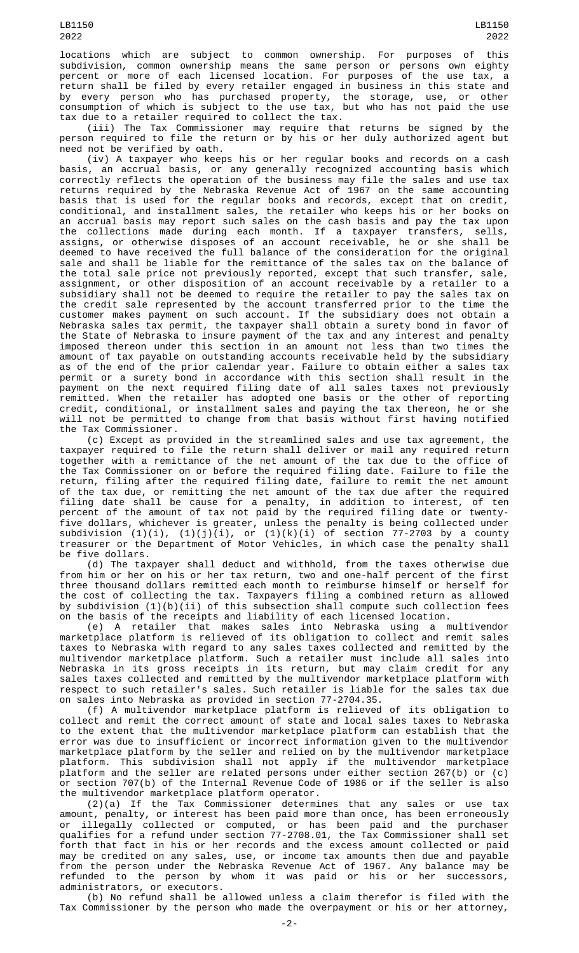locations which are subject to common ownership. For purposes of this subdivision, common ownership means the same person or persons own eighty percent or more of each licensed location. For purposes of the use tax, a return shall be filed by every retailer engaged in business in this state and by every person who has purchased property, the storage, use, or other consumption of which is subject to the use tax, but who has not paid the use tax due to a retailer required to collect the tax.

(iii) The Tax Commissioner may require that returns be signed by the person required to file the return or by his or her duly authorized agent but need not be verified by oath.

(iv) A taxpayer who keeps his or her regular books and records on a cash basis, an accrual basis, or any generally recognized accounting basis which correctly reflects the operation of the business may file the sales and use tax returns required by the Nebraska Revenue Act of 1967 on the same accounting basis that is used for the regular books and records, except that on credit, conditional, and installment sales, the retailer who keeps his or her books on an accrual basis may report such sales on the cash basis and pay the tax upon the collections made during each month. If a taxpayer transfers, sells, assigns, or otherwise disposes of an account receivable, he or she shall be deemed to have received the full balance of the consideration for the original sale and shall be liable for the remittance of the sales tax on the balance of the total sale price not previously reported, except that such transfer, sale, assignment, or other disposition of an account receivable by a retailer to a subsidiary shall not be deemed to require the retailer to pay the sales tax on the credit sale represented by the account transferred prior to the time the customer makes payment on such account. If the subsidiary does not obtain a Nebraska sales tax permit, the taxpayer shall obtain a surety bond in favor of the State of Nebraska to insure payment of the tax and any interest and penalty imposed thereon under this section in an amount not less than two times the amount of tax payable on outstanding accounts receivable held by the subsidiary as of the end of the prior calendar year. Failure to obtain either a sales tax permit or a surety bond in accordance with this section shall result in the payment on the next required filing date of all sales taxes not previously remitted. When the retailer has adopted one basis or the other of reporting credit, conditional, or installment sales and paying the tax thereon, he or she will not be permitted to change from that basis without first having notified the Tax Commissioner.

(c) Except as provided in the streamlined sales and use tax agreement, the taxpayer required to file the return shall deliver or mail any required return together with a remittance of the net amount of the tax due to the office of the Tax Commissioner on or before the required filing date. Failure to file the return, filing after the required filing date, failure to remit the net amount of the tax due, or remitting the net amount of the tax due after the required filing date shall be cause for a penalty, in addition to interest, of ten percent of the amount of tax not paid by the required filing date or twentyfive dollars, whichever is greater, unless the penalty is being collected under subdivision  $(1)(i)$ ,  $(1)(j)(i)$ , or  $(1)(k)(i)$  of section 77-2703 by a county treasurer or the Department of Motor Vehicles, in which case the penalty shall be five dollars.

(d) The taxpayer shall deduct and withhold, from the taxes otherwise due from him or her on his or her tax return, two and one-half percent of the first three thousand dollars remitted each month to reimburse himself or herself for the cost of collecting the tax. Taxpayers filing a combined return as allowed by subdivision (1)(b)(ii) of this subsection shall compute such collection fees on the basis of the receipts and liability of each licensed location.

(e) A retailer that makes sales into Nebraska using a multivendor marketplace platform is relieved of its obligation to collect and remit sales taxes to Nebraska with regard to any sales taxes collected and remitted by the multivendor marketplace platform. Such a retailer must include all sales into Nebraska in its gross receipts in its return, but may claim credit for any sales taxes collected and remitted by the multivendor marketplace platform with respect to such retailer's sales. Such retailer is liable for the sales tax due on sales into Nebraska as provided in section 77-2704.35.

(f) A multivendor marketplace platform is relieved of its obligation to collect and remit the correct amount of state and local sales taxes to Nebraska to the extent that the multivendor marketplace platform can establish that the error was due to insufficient or incorrect information given to the multivendor marketplace platform by the seller and relied on by the multivendor marketplace platform. This subdivision shall not apply if the multivendor marketplace platform and the seller are related persons under either section 267(b) or (c) or section 707(b) of the Internal Revenue Code of 1986 or if the seller is also the multivendor marketplace platform operator.

(2)(a) If the Tax Commissioner determines that any sales or use tax amount, penalty, or interest has been paid more than once, has been erroneously or illegally collected or computed, or has been paid and the purchaser qualifies for a refund under section 77-2708.01, the Tax Commissioner shall set forth that fact in his or her records and the excess amount collected or paid may be credited on any sales, use, or income tax amounts then due and payable from the person under the Nebraska Revenue Act of 1967. Any balance may be refunded to the person by whom it was paid or his or her successors, administrators, or executors.

(b) No refund shall be allowed unless a claim therefor is filed with the Tax Commissioner by the person who made the overpayment or his or her attorney,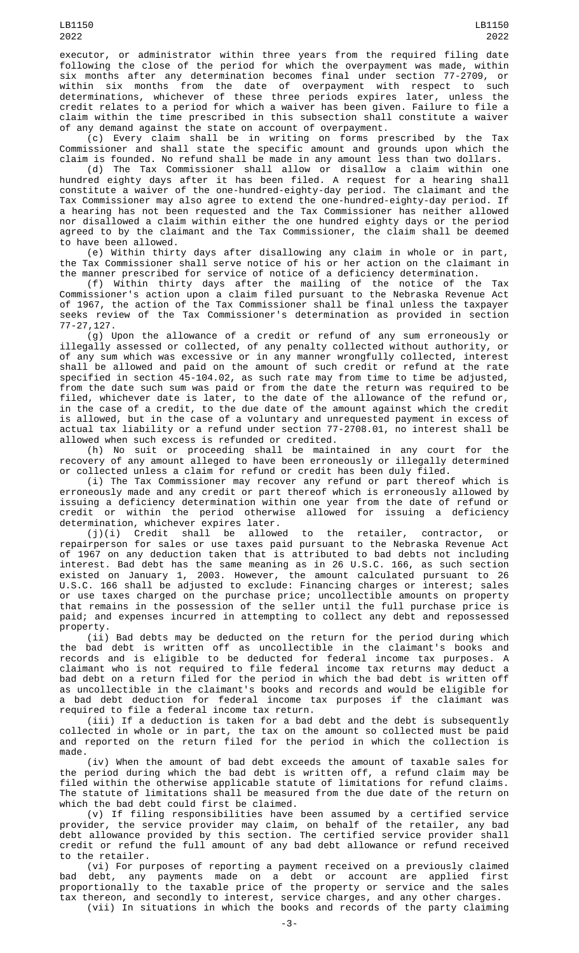executor, or administrator within three years from the required filing date following the close of the period for which the overpayment was made, within six months after any determination becomes final under section 77-2709, or within six months from the date of overpayment with respect to such determinations, whichever of these three periods expires later, unless the credit relates to a period for which a waiver has been given. Failure to file a claim within the time prescribed in this subsection shall constitute a waiver of any demand against the state on account of overpayment.

(c) Every claim shall be in writing on forms prescribed by the Tax Commissioner and shall state the specific amount and grounds upon which the claim is founded. No refund shall be made in any amount less than two dollars.

(d) The Tax Commissioner shall allow or disallow a claim within one hundred eighty days after it has been filed. A request for a hearing shall constitute a waiver of the one-hundred-eighty-day period. The claimant and the Tax Commissioner may also agree to extend the one-hundred-eighty-day period. If a hearing has not been requested and the Tax Commissioner has neither allowed nor disallowed a claim within either the one hundred eighty days or the period agreed to by the claimant and the Tax Commissioner, the claim shall be deemed to have been allowed.

(e) Within thirty days after disallowing any claim in whole or in part, the Tax Commissioner shall serve notice of his or her action on the claimant in the manner prescribed for service of notice of a deficiency determination.

(f) Within thirty days after the mailing of the notice of the Tax Commissioner's action upon a claim filed pursuant to the Nebraska Revenue Act of 1967, the action of the Tax Commissioner shall be final unless the taxpayer seeks review of the Tax Commissioner's determination as provided in section 77-27,127.

(g) Upon the allowance of a credit or refund of any sum erroneously or illegally assessed or collected, of any penalty collected without authority, or of any sum which was excessive or in any manner wrongfully collected, interest shall be allowed and paid on the amount of such credit or refund at the rate specified in section 45-104.02, as such rate may from time to time be adjusted, from the date such sum was paid or from the date the return was required to be filed, whichever date is later, to the date of the allowance of the refund or, in the case of a credit, to the due date of the amount against which the credit is allowed, but in the case of a voluntary and unrequested payment in excess of actual tax liability or a refund under section 77-2708.01, no interest shall be allowed when such excess is refunded or credited.

(h) No suit or proceeding shall be maintained in any court for the recovery of any amount alleged to have been erroneously or illegally determined or collected unless a claim for refund or credit has been duly filed.

(i) The Tax Commissioner may recover any refund or part thereof which is erroneously made and any credit or part thereof which is erroneously allowed by issuing a deficiency determination within one year from the date of refund or credit or within the period otherwise allowed for issuing a deficiency determination, whichever expires later.

(j)(i) Credit shall be allowed to the retailer, contractor, or repairperson for sales or use taxes paid pursuant to the Nebraska Revenue Act of 1967 on any deduction taken that is attributed to bad debts not including interest. Bad debt has the same meaning as in 26 U.S.C. 166, as such section existed on January 1, 2003. However, the amount calculated pursuant to 26 U.S.C. 166 shall be adjusted to exclude: Financing charges or interest; sales or use taxes charged on the purchase price; uncollectible amounts on property that remains in the possession of the seller until the full purchase price is paid; and expenses incurred in attempting to collect any debt and repossessed property.

(ii) Bad debts may be deducted on the return for the period during which the bad debt is written off as uncollectible in the claimant's books and records and is eligible to be deducted for federal income tax purposes. A claimant who is not required to file federal income tax returns may deduct a bad debt on a return filed for the period in which the bad debt is written off as uncollectible in the claimant's books and records and would be eligible for a bad debt deduction for federal income tax purposes if the claimant was required to file a federal income tax return.

(iii) If a deduction is taken for a bad debt and the debt is subsequently collected in whole or in part, the tax on the amount so collected must be paid and reported on the return filed for the period in which the collection is made.

(iv) When the amount of bad debt exceeds the amount of taxable sales for the period during which the bad debt is written off, a refund claim may be filed within the otherwise applicable statute of limitations for refund claims. The statute of limitations shall be measured from the due date of the return on which the bad debt could first be claimed.

(v) If filing responsibilities have been assumed by a certified service provider, the service provider may claim, on behalf of the retailer, any bad debt allowance provided by this section. The certified service provider shall credit or refund the full amount of any bad debt allowance or refund received to the retailer.

(vi) For purposes of reporting a payment received on a previously claimed bad debt, any payments made on a debt or account are applied first proportionally to the taxable price of the property or service and the sales tax thereon, and secondly to interest, service charges, and any other charges. (vii) In situations in which the books and records of the party claiming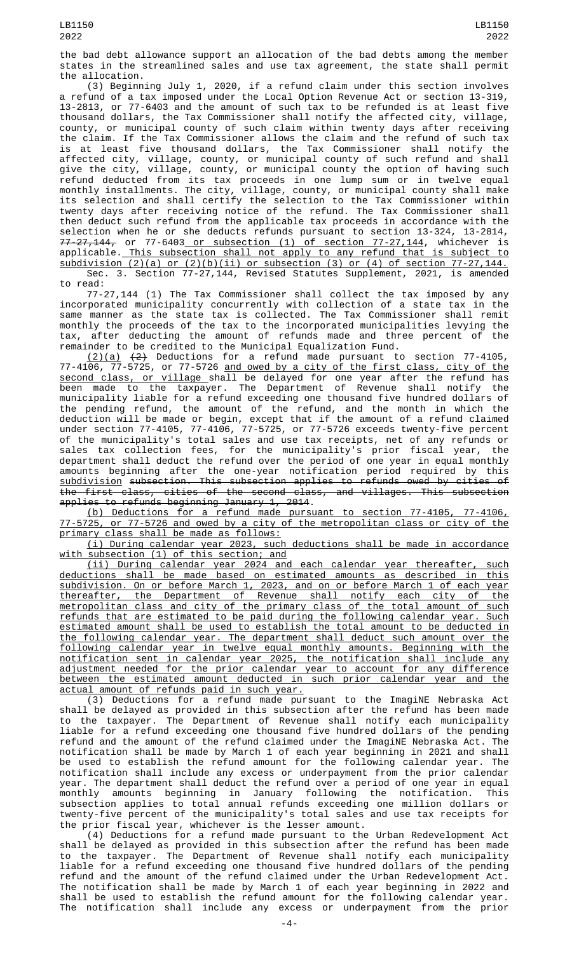the bad debt allowance support an allocation of the bad debts among the member states in the streamlined sales and use tax agreement, the state shall permit the allocation.

(3) Beginning July 1, 2020, if a refund claim under this section involves a refund of a tax imposed under the Local Option Revenue Act or section 13-319, 13-2813, or 77-6403 and the amount of such tax to be refunded is at least five thousand dollars, the Tax Commissioner shall notify the affected city, village, county, or municipal county of such claim within twenty days after receiving the claim. If the Tax Commissioner allows the claim and the refund of such tax is at least five thousand dollars, the Tax Commissioner shall notify the affected city, village, county, or municipal county of such refund and shall give the city, village, county, or municipal county the option of having such refund deducted from its tax proceeds in one lump sum or in twelve equal monthly installments. The city, village, county, or municipal county shall make its selection and shall certify the selection to the Tax Commissioner within twenty days after receiving notice of the refund. The Tax Commissioner shall then deduct such refund from the applicable tax proceeds in accordance with the selection when he or she deducts refunds pursuant to section 13-324, 13-2814, <del>77-27,144,</del> or 77-6403<u> or subsection (1) of section 77-27,144</u>, whichever is applicable. This subsection shall not apply to any refund that is subject to subdivision (2)(a) or (2)(b)(ii) or subsection (3) or (4) of section 77-27,144. Sec. 3. Section 77-27,144, Revised Statutes Supplement, 2021, is amended

to read:

77-27,144 (1) The Tax Commissioner shall collect the tax imposed by any incorporated municipality concurrently with collection of a state tax in the same manner as the state tax is collected. The Tax Commissioner shall remit monthly the proceeds of the tax to the incorporated municipalities levying the tax, after deducting the amount of refunds made and three percent of the remainder to be credited to the Municipal Equalization Fund.

 $(2)(a)$   $(2)$  Deductions for a refund made pursuant to section 77-4105, 77-4106, 77-5725, or 77-5726 and owed by a city of the first class, city of the second class, or village shall be delayed for one year after the refund has been made to the taxpayer. The Department of Revenue shall notify the municipality liable for a refund exceeding one thousand five hundred dollars of the pending refund, the amount of the refund, and the month in which the deduction will be made or begin, except that if the amount of a refund claimed under section 77-4105, 77-4106, 77-5725, or 77-5726 exceeds twenty-five percent of the municipality's total sales and use tax receipts, net of any refunds or sales tax collection fees, for the municipality's prior fiscal year, the department shall deduct the refund over the period of one year in equal monthly amounts beginning after the one-year notification period required by this subdivision subsection. This subsection applies to refunds owed by cities of the first class, cities of the second class, and villages. This subsection applies to refunds beginning January 1, 2014.

(b) Deductions for a refund made pursuant to section 77-4105, 77-4106, 77-5725, or 77-5726 and owed by a city of the metropolitan class or city of the primary class shall be made as follows:

(i) During calendar year 2023, such deductions shall be made in accordance with subsection (1) of this section; and

(ii) During calendar year 2024 and each calendar year thereafter, such deductions shall be made based on estimated amounts as described in this subdivision. On or before March 1, 2023, and on or before March 1 of each year thereafter, the Department of Revenue shall notify each city of the metropolitan class and city of the primary class of the total amount of such refunds that are estimated to be paid during the following calendar year. Such estimated amount shall be used to establish the total amount to be deducted in the following calendar year. The department shall deduct such amount over the following calendar year in twelve equal monthly amounts. Beginning with the notification sent in calendar year 2025, the notification shall include any adjustment needed for the prior calendar year to account for any difference between the estimated amount deducted in such prior calendar year and the actual amount of refunds paid in such year.

(3) Deductions for a refund made pursuant to the ImagiNE Nebraska Act shall be delayed as provided in this subsection after the refund has been made to the taxpayer. The Department of Revenue shall notify each municipality liable for a refund exceeding one thousand five hundred dollars of the pending refund and the amount of the refund claimed under the ImagiNE Nebraska Act. The notification shall be made by March 1 of each year beginning in 2021 and shall be used to establish the refund amount for the following calendar year. The notification shall include any excess or underpayment from the prior calendar year. The department shall deduct the refund over a period of one year in equal monthly amounts beginning in January following the notification. This subsection applies to total annual refunds exceeding one million dollars or twenty-five percent of the municipality's total sales and use tax receipts for the prior fiscal year, whichever is the lesser amount.

(4) Deductions for a refund made pursuant to the Urban Redevelopment Act shall be delayed as provided in this subsection after the refund has been made to the taxpayer. The Department of Revenue shall notify each municipality liable for a refund exceeding one thousand five hundred dollars of the pending refund and the amount of the refund claimed under the Urban Redevelopment Act. The notification shall be made by March 1 of each year beginning in 2022 and shall be used to establish the refund amount for the following calendar year. The notification shall include any excess or underpayment from the prior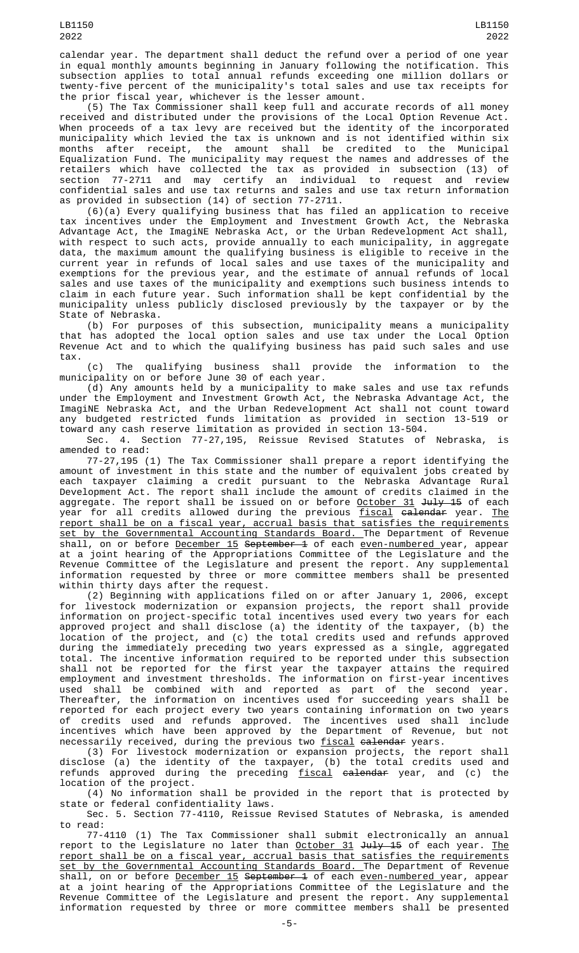(5) The Tax Commissioner shall keep full and accurate records of all money received and distributed under the provisions of the Local Option Revenue Act. When proceeds of a tax levy are received but the identity of the incorporated municipality which levied the tax is unknown and is not identified within six months after receipt, the amount shall be credited to the Municipal Equalization Fund. The municipality may request the names and addresses of the retailers which have collected the tax as provided in subsection (13) of section 77-2711 and may certify an individual to request and review confidential sales and use tax returns and sales and use tax return information as provided in subsection (14) of section 77-2711.

(6)(a) Every qualifying business that has filed an application to receive tax incentives under the Employment and Investment Growth Act, the Nebraska Advantage Act, the ImagiNE Nebraska Act, or the Urban Redevelopment Act shall, with respect to such acts, provide annually to each municipality, in aggregate data, the maximum amount the qualifying business is eligible to receive in the current year in refunds of local sales and use taxes of the municipality and exemptions for the previous year, and the estimate of annual refunds of local sales and use taxes of the municipality and exemptions such business intends to claim in each future year. Such information shall be kept confidential by the municipality unless publicly disclosed previously by the taxpayer or by the State of Nebraska.

(b) For purposes of this subsection, municipality means a municipality that has adopted the local option sales and use tax under the Local Option Revenue Act and to which the qualifying business has paid such sales and use tax.

(c) The qualifying business shall provide the information to the municipality on or before June 30 of each year.

(d) Any amounts held by a municipality to make sales and use tax refunds under the Employment and Investment Growth Act, the Nebraska Advantage Act, the ImagiNE Nebraska Act, and the Urban Redevelopment Act shall not count toward any budgeted restricted funds limitation as provided in section 13-519 or toward any cash reserve limitation as provided in section 13-504.

Sec. 4. Section 77-27,195, Reissue Revised Statutes of Nebraska, is amended to read:

77-27,195 (1) The Tax Commissioner shall prepare a report identifying the amount of investment in this state and the number of equivalent jobs created by each taxpayer claiming a credit pursuant to the Nebraska Advantage Rural Development Act. The report shall include the amount of credits claimed in the aggregate. The report shall be issued on or before <u>October 31</u> <del>July 15</del> of each year for all credits allowed during the previous <u>fiscal</u> <del>calendar</del> year. <u>The</u> report shall be on a fiscal year, accrual basis that satisfies the requirements set by the Governmental Accounting Standards Board. The Department of Revenue shall, on or before <u>December 15</u> <del>September 1</del> of each <u>even-numbered y</u>ear, appear at a joint hearing of the Appropriations Committee of the Legislature and the Revenue Committee of the Legislature and present the report. Any supplemental information requested by three or more committee members shall be presented within thirty days after the request.

(2) Beginning with applications filed on or after January 1, 2006, except for livestock modernization or expansion projects, the report shall provide information on project-specific total incentives used every two years for each approved project and shall disclose (a) the identity of the taxpayer, (b) the location of the project, and (c) the total credits used and refunds approved during the immediately preceding two years expressed as a single, aggregated total. The incentive information required to be reported under this subsection shall not be reported for the first year the taxpayer attains the required employment and investment thresholds. The information on first-year incentives used shall be combined with and reported as part of the second year. Thereafter, the information on incentives used for succeeding years shall be reported for each project every two years containing information on two years of credits used and refunds approved. The incentives used shall include incentives which have been approved by the Department of Revenue, but not necessarily received, during the previous two <u>fiscal</u> <del>calendar</del> years.

(3) For livestock modernization or expansion projects, the report shall disclose (a) the identity of the taxpayer, (b) the total credits used and refunds approved during the preceding <u>fiscal</u> <del>calendar</del> year, and (c) the location of the project.

(4) No information shall be provided in the report that is protected by state or federal confidentiality laws.

Sec. 5. Section 77-4110, Reissue Revised Statutes of Nebraska, is amended to read:

77-4110 (1) The Tax Commissioner shall submit electronically an annual report to the Legislature no later than <u>October 31</u> <del>July 15</del> of each year. <u>The</u> report shall be on a fiscal year, accrual basis that satisfies the requirements set by the Governmental Accounting Standards Board. The Department of Revenue shall, on or before <u>December 15</u> <del>September 1</del> of each <u>even-numbered y</u>ear, appear at a joint hearing of the Appropriations Committee of the Legislature and the Revenue Committee of the Legislature and present the report. Any supplemental information requested by three or more committee members shall be presented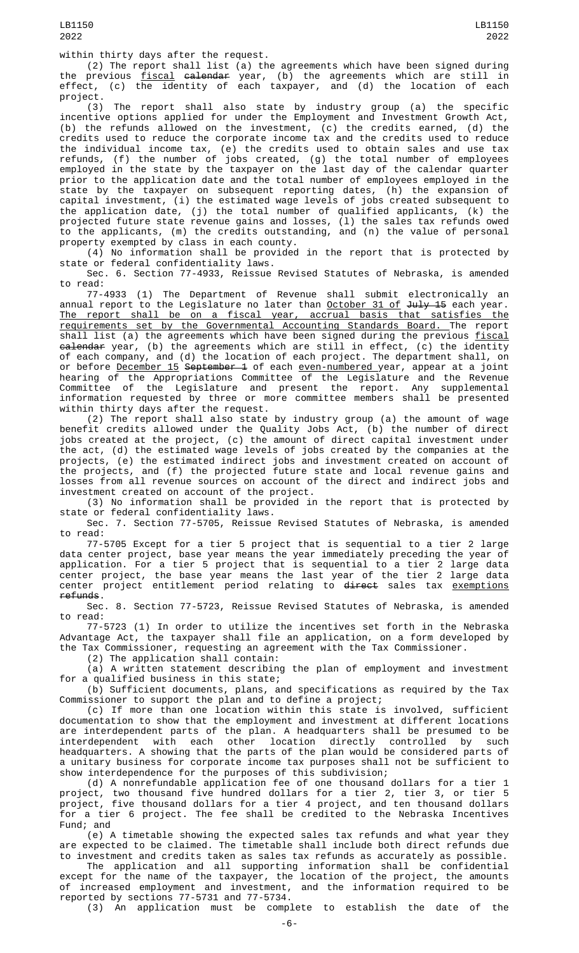within thirty days after the request.

(2) The report shall list (a) the agreements which have been signed during the previous <u>fiscal</u> <del>calendar</del> year, (b) the agreements which are still in effect, (c) the identity of each taxpayer, and (d) the location of each project.

(3) The report shall also state by industry group (a) the specific incentive options applied for under the Employment and Investment Growth Act, (b) the refunds allowed on the investment, (c) the credits earned, (d) the credits used to reduce the corporate income tax and the credits used to reduce the individual income tax, (e) the credits used to obtain sales and use tax refunds, (f) the number of jobs created, (g) the total number of employees employed in the state by the taxpayer on the last day of the calendar quarter prior to the application date and the total number of employees employed in the state by the taxpayer on subsequent reporting dates, (h) the expansion of capital investment, (i) the estimated wage levels of jobs created subsequent to the application date, (j) the total number of qualified applicants, (k) the projected future state revenue gains and losses, (l) the sales tax refunds owed to the applicants, (m) the credits outstanding, and (n) the value of personal property exempted by class in each county.

(4) No information shall be provided in the report that is protected by state or federal confidentiality laws.

Sec. 6. Section 77-4933, Reissue Revised Statutes of Nebraska, is amended to read:

77-4933 (1) The Department of Revenue shall submit electronically an annual report to the Legislature no later than <u>October 31 of</u> <del>July 15</del> each year. The report shall be on a fiscal year, accrual basis that satisfies the requirements set by the Governmental Accounting Standards Board. The report shall list (a) the agreements which have been signed during the previous fiscal <del>calendar</del> year, (b) the agreements which are still in effect, (c) the identity of each company, and (d) the location of each project. The department shall, on or before <u>December 15</u> <del>September 1</del> of each <u>even-numbered y</u>ear, appear at a joint hearing of the Appropriations Committee of the Legislature and the Revenue Committee of the Legislature and present the report. Any supplemental information requested by three or more committee members shall be presented within thirty days after the request.

(2) The report shall also state by industry group (a) the amount of wage benefit credits allowed under the Quality Jobs Act, (b) the number of direct jobs created at the project, (c) the amount of direct capital investment under the act, (d) the estimated wage levels of jobs created by the companies at the projects, (e) the estimated indirect jobs and investment created on account of the projects, and (f) the projected future state and local revenue gains and losses from all revenue sources on account of the direct and indirect jobs and investment created on account of the project.

(3) No information shall be provided in the report that is protected by state or federal confidentiality laws.

Sec. 7. Section 77-5705, Reissue Revised Statutes of Nebraska, is amended to read:

77-5705 Except for a tier 5 project that is sequential to a tier 2 large data center project, base year means the year immediately preceding the year of application. For a tier 5 project that is sequential to a tier 2 large data center project, the base year means the last year of the tier 2 large data center project entitlement period relating to <del>direct</del> sales tax <u>exemptions</u> refunds.

Sec. 8. Section 77-5723, Reissue Revised Statutes of Nebraska, is amended to read:

77-5723 (1) In order to utilize the incentives set forth in the Nebraska Advantage Act, the taxpayer shall file an application, on a form developed by the Tax Commissioner, requesting an agreement with the Tax Commissioner.

(2) The application shall contain:

(a) A written statement describing the plan of employment and investment for a qualified business in this state;

(b) Sufficient documents, plans, and specifications as required by the Tax Commissioner to support the plan and to define a project;

(c) If more than one location within this state is involved, sufficient documentation to show that the employment and investment at different locations are interdependent parts of the plan. A headquarters shall be presumed to be interdependent with each other location directly controlled by such headquarters. A showing that the parts of the plan would be considered parts of a unitary business for corporate income tax purposes shall not be sufficient to show interdependence for the purposes of this subdivision;

(d) A nonrefundable application fee of one thousand dollars for a tier 1 project, two thousand five hundred dollars for a tier 2, tier 3, or tier 5 project, five thousand dollars for a tier 4 project, and ten thousand dollars for a tier 6 project. The fee shall be credited to the Nebraska Incentives Fund; and

(e) A timetable showing the expected sales tax refunds and what year they are expected to be claimed. The timetable shall include both direct refunds due to investment and credits taken as sales tax refunds as accurately as possible.

The application and all supporting information shall be confidential except for the name of the taxpayer, the location of the project, the amounts of increased employment and investment, and the information required to be reported by sections 77-5731 and 77-5734.

(3) An application must be complete to establish the date of the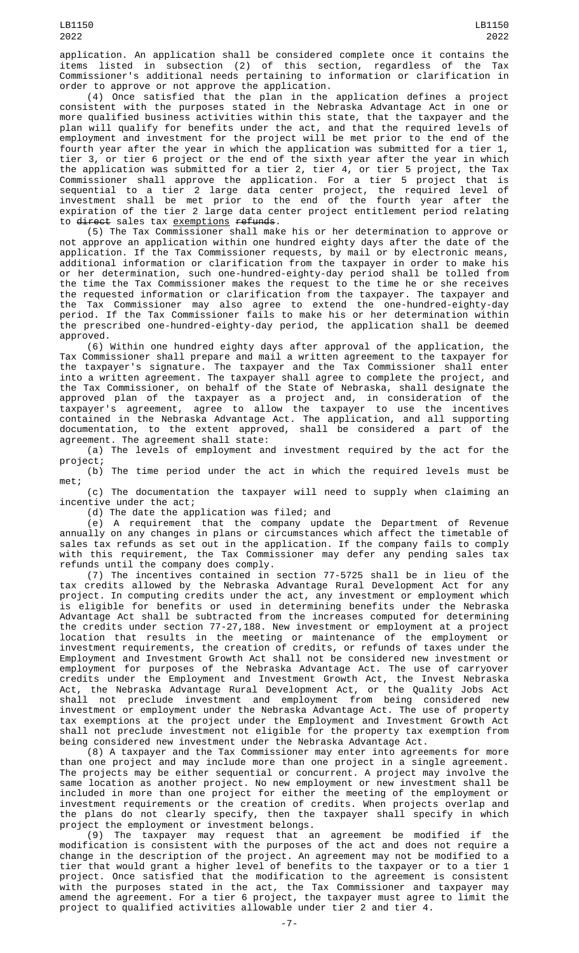application. An application shall be considered complete once it contains the items listed in subsection (2) of this section, regardless of the Tax Commissioner's additional needs pertaining to information or clarification in order to approve or not approve the application.

(4) Once satisfied that the plan in the application defines a project consistent with the purposes stated in the Nebraska Advantage Act in one or more qualified business activities within this state, that the taxpayer and the plan will qualify for benefits under the act, and that the required levels of employment and investment for the project will be met prior to the end of the fourth year after the year in which the application was submitted for a tier 1, tier 3, or tier 6 project or the end of the sixth year after the year in which the application was submitted for a tier 2, tier 4, or tier 5 project, the Tax Commissioner shall approve the application. For a tier 5 project that is sequential to a tier 2 large data center project, the required level of investment shall be met prior to the end of the fourth year after the expiration of the tier 2 large data center project entitlement period relating to direct sales tax exemptions refunds.

(5) The Tax Commissioner shall make his or her determination to approve or not approve an application within one hundred eighty days after the date of the application. If the Tax Commissioner requests, by mail or by electronic means, additional information or clarification from the taxpayer in order to make his or her determination, such one-hundred-eighty-day period shall be tolled from the time the Tax Commissioner makes the request to the time he or she receives the requested information or clarification from the taxpayer. The taxpayer and the Tax Commissioner may also agree to extend the one-hundred-eighty-day period. If the Tax Commissioner fails to make his or her determination within the prescribed one-hundred-eighty-day period, the application shall be deemed approved.

(6) Within one hundred eighty days after approval of the application, the Tax Commissioner shall prepare and mail a written agreement to the taxpayer for the taxpayer's signature. The taxpayer and the Tax Commissioner shall enter into a written agreement. The taxpayer shall agree to complete the project, and the Tax Commissioner, on behalf of the State of Nebraska, shall designate the approved plan of the taxpayer as a project and, in consideration of the taxpayer's agreement, agree to allow the taxpayer to use the incentives contained in the Nebraska Advantage Act. The application, and all supporting documentation, to the extent approved, shall be considered a part of the agreement. The agreement shall state:

(a) The levels of employment and investment required by the act for the project;

(b) The time period under the act in which the required levels must be met;

(c) The documentation the taxpayer will need to supply when claiming an incentive under the act;

(d) The date the application was filed; and

(e) A requirement that the company update the Department of Revenue annually on any changes in plans or circumstances which affect the timetable of sales tax refunds as set out in the application. If the company fails to comply with this requirement, the Tax Commissioner may defer any pending sales tax refunds until the company does comply.

(7) The incentives contained in section 77-5725 shall be in lieu of the tax credits allowed by the Nebraska Advantage Rural Development Act for any project. In computing credits under the act, any investment or employment which is eligible for benefits or used in determining benefits under the Nebraska Advantage Act shall be subtracted from the increases computed for determining the credits under section 77-27,188. New investment or employment at a project location that results in the meeting or maintenance of the employment or investment requirements, the creation of credits, or refunds of taxes under the Employment and Investment Growth Act shall not be considered new investment or employment for purposes of the Nebraska Advantage Act. The use of carryover credits under the Employment and Investment Growth Act, the Invest Nebraska Act, the Nebraska Advantage Rural Development Act, or the Quality Jobs Act shall not preclude investment and employment from being considered new investment or employment under the Nebraska Advantage Act. The use of property tax exemptions at the project under the Employment and Investment Growth Act shall not preclude investment not eligible for the property tax exemption from being considered new investment under the Nebraska Advantage Act.

(8) A taxpayer and the Tax Commissioner may enter into agreements for more than one project and may include more than one project in a single agreement. The projects may be either sequential or concurrent. A project may involve the same location as another project. No new employment or new investment shall be included in more than one project for either the meeting of the employment or investment requirements or the creation of credits. When projects overlap and the plans do not clearly specify, then the taxpayer shall specify in which project the employment or investment belongs.

(9) The taxpayer may request that an agreement be modified if the modification is consistent with the purposes of the act and does not require a change in the description of the project. An agreement may not be modified to a tier that would grant a higher level of benefits to the taxpayer or to a tier 1 project. Once satisfied that the modification to the agreement is consistent with the purposes stated in the act, the Tax Commissioner and taxpayer may amend the agreement. For a tier 6 project, the taxpayer must agree to limit the project to qualified activities allowable under tier 2 and tier 4.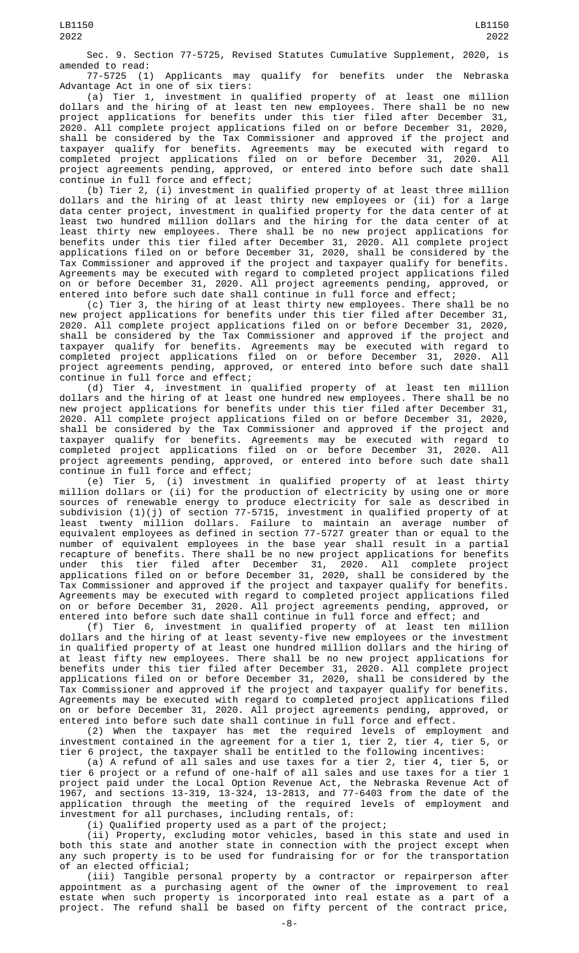Sec. 9. Section 77-5725, Revised Statutes Cumulative Supplement, 2020, is

amended to read:<br>77-5725 (1) Applicants may qualify for benefits under the Nebraska Advantage Act in one of six tiers:

(a) Tier 1, investment in qualified property of at least one million dollars and the hiring of at least ten new employees. There shall be no new project applications for benefits under this tier filed after December 31, 2020. All complete project applications filed on or before December 31, 2020, shall be considered by the Tax Commissioner and approved if the project and taxpayer qualify for benefits. Agreements may be executed with regard to completed project applications filed on or before December 31, 2020. All project agreements pending, approved, or entered into before such date shall continue in full force and effect;

(b) Tier 2, (i) investment in qualified property of at least three million dollars and the hiring of at least thirty new employees or (ii) for a large data center project, investment in qualified property for the data center of at least two hundred million dollars and the hiring for the data center of at least thirty new employees. There shall be no new project applications for benefits under this tier filed after December 31, 2020. All complete project applications filed on or before December 31, 2020, shall be considered by the Tax Commissioner and approved if the project and taxpayer qualify for benefits. Agreements may be executed with regard to completed project applications filed on or before December 31, 2020. All project agreements pending, approved, or entered into before such date shall continue in full force and effect;

(c) Tier 3, the hiring of at least thirty new employees. There shall be no new project applications for benefits under this tier filed after December 31, 2020. All complete project applications filed on or before December 31, 2020, shall be considered by the Tax Commissioner and approved if the project and taxpayer qualify for benefits. Agreements may be executed with regard to completed project applications filed on or before December 31, 2020. All project agreements pending, approved, or entered into before such date shall continue in full force and effect;

(d) Tier 4, investment in qualified property of at least ten million dollars and the hiring of at least one hundred new employees. There shall be no new project applications for benefits under this tier filed after December 31, 2020. All complete project applications filed on or before December 31, 2020, shall be considered by the Tax Commissioner and approved if the project and taxpayer qualify for benefits. Agreements may be executed with regard to completed project applications filed on or before December 31, 2020. All project agreements pending, approved, or entered into before such date shall continue in full force and effect;

(e) Tier 5, (i) investment in qualified property of at least thirty million dollars or (ii) for the production of electricity by using one or more sources of renewable energy to produce electricity for sale as described in subdivision (1)(j) of section 77-5715, investment in qualified property of at least twenty million dollars. Failure to maintain an average number of equivalent employees as defined in section 77-5727 greater than or equal to the number of equivalent employees in the base year shall result in a partial recapture of benefits. There shall be no new project applications for benefits under this tier filed after December 31, 2020. All complete project applications filed on or before December 31, 2020, shall be considered by the Tax Commissioner and approved if the project and taxpayer qualify for benefits. Agreements may be executed with regard to completed project applications filed on or before December 31, 2020. All project agreements pending, approved, or entered into before such date shall continue in full force and effect; and

(f) Tier 6, investment in qualified property of at least ten million dollars and the hiring of at least seventy-five new employees or the investment in qualified property of at least one hundred million dollars and the hiring of at least fifty new employees. There shall be no new project applications for benefits under this tier filed after December 31, 2020. All complete project applications filed on or before December 31, 2020, shall be considered by the Tax Commissioner and approved if the project and taxpayer qualify for benefits. Agreements may be executed with regard to completed project applications filed on or before December 31, 2020. All project agreements pending, approved, or entered into before such date shall continue in full force and effect.

(2) When the taxpayer has met the required levels of employment and investment contained in the agreement for a tier 1, tier 2, tier 4, tier 5, or tier 6 project, the taxpayer shall be entitled to the following incentives:

(a) A refund of all sales and use taxes for a tier 2, tier 4, tier 5, or tier 6 project or a refund of one-half of all sales and use taxes for a tier 1 project paid under the Local Option Revenue Act, the Nebraska Revenue Act of 1967, and sections 13-319, 13-324, 13-2813, and 77-6403 from the date of the application through the meeting of the required levels of employment and investment for all purchases, including rentals, of:

(i) Qualified property used as a part of the project;

(ii) Property, excluding motor vehicles, based in this state and used in both this state and another state in connection with the project except when any such property is to be used for fundraising for or for the transportation of an elected official;

(iii) Tangible personal property by a contractor or repairperson after appointment as a purchasing agent of the owner of the improvement to real estate when such property is incorporated into real estate as a part of a project. The refund shall be based on fifty percent of the contract price,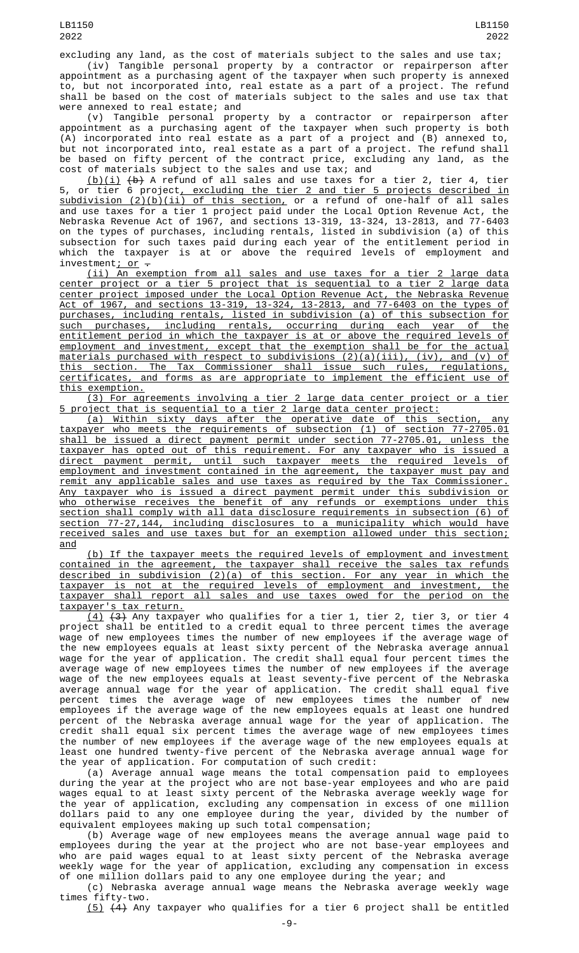excluding any land, as the cost of materials subject to the sales and use tax; (iv) Tangible personal property by a contractor or repairperson after

appointment as a purchasing agent of the taxpayer when such property is annexed to, but not incorporated into, real estate as a part of a project. The refund shall be based on the cost of materials subject to the sales and use tax that were annexed to real estate; and

(v) Tangible personal property by a contractor or repairperson after appointment as a purchasing agent of the taxpayer when such property is both (A) incorporated into real estate as a part of a project and (B) annexed to, but not incorporated into, real estate as a part of a project. The refund shall be based on fifty percent of the contract price, excluding any land, as the cost of materials subject to the sales and use tax; and

 $(b)(i)$  (b) A refund of all sales and use taxes for a tier 2, tier 4, tier 5, or tier 6 project, excluding the tier 2 and tier 5 projects described in subdivision (2)(b)(ii) of this section, or a refund of one-half of all sales and use taxes for a tier 1 project paid under the Local Option Revenue Act, the Nebraska Revenue Act of 1967, and sections 13-319, 13-324, 13-2813, and 77-6403 on the types of purchases, including rentals, listed in subdivision (a) of this subsection for such taxes paid during each year of the entitlement period in which the taxpayer is at or above the required levels of employment and investment;  $or -$ 

(ii) An exemption from all sales and use taxes for a tier 2 large data center project or a tier 5 project that is sequential to a tier 2 large data center project imposed under the Local Option Revenue Act, the Nebraska Revenue Act of 1967, and sections 13-319, 13-324, 13-2813, and 77-6403 on the types of purchases, including rentals, listed in subdivision (a) of this subsection for such purchases, including rentals, occurring during each year of the entitlement period in which the taxpayer is at or above the required levels of employment and investment, except that the exemption shall be for the actual materials purchased with respect to subdivisions (2)(a)(iii), (iv), and (v) of this section. The Tax Commissioner shall issue such rules, regulations, certificates, and forms as are appropriate to implement the efficient use of this exemption.

(3) For agreements involving a tier 2 large data center project or a tier 5 project that is sequential to a tier 2 large data center project:

(a) Within sixty days after the operative date of this section, any taxpayer who meets the requirements of subsection (1) of section 77-2705.01 shall be issued a direct payment permit under section 77-2705.01, unless the taxpayer has opted out of this requirement. For any taxpayer who is issued a direct payment permit, until such taxpayer meets the required levels of employment and investment contained in the agreement, the taxpayer must pay and remit any applicable sales and use taxes as required by the Tax Commissioner. Any taxpayer who is issued a direct payment permit under this subdivision or who otherwise receives the benefit of any refunds or exemptions under this section shall comply with all data disclosure requirements in subsection (6) of section 77-27,144, including disclosures to a municipality which would have received sales and use taxes but for an exemption allowed under this section; and

(b) If the taxpayer meets the required levels of employment and investment contained in the agreement, the taxpayer shall receive the sales tax refunds described in subdivision (2)(a) of this section. For any year in which the taxpayer is not at the required levels of employment and investment, the taxpayer shall report all sales and use taxes owed for the period on the <u>taxpayer's tax return.</u>

 $(4)$   $(3)$  Any taxpayer who qualifies for a tier 1, tier 2, tier 3, or tier 4 project shall be entitled to a credit equal to three percent times the average wage of new employees times the number of new employees if the average wage of<br>the new employees equals at least sixty percent of the Nebraska average annual the new employees equals at least sixty percent of the Nebraska average annual wage for the year of application. The credit shall equal four percent times the average wage of new employees times the number of new employees if the average wage of the new employees equals at least seventy-five percent of the Nebraska average annual wage for the year of application. The credit shall equal five percent times the average wage of new employees times the number of new employees if the average wage of the new employees equals at least one hundred percent of the Nebraska average annual wage for the year of application. The credit shall equal six percent times the average wage of new employees times the number of new employees if the average wage of the new employees equals at least one hundred twenty-five percent of the Nebraska average annual wage for the year of application. For computation of such credit:

(a) Average annual wage means the total compensation paid to employees during the year at the project who are not base-year employees and who are paid wages equal to at least sixty percent of the Nebraska average weekly wage for the year of application, excluding any compensation in excess of one million dollars paid to any one employee during the year, divided by the number of equivalent employees making up such total compensation;

(b) Average wage of new employees means the average annual wage paid to employees during the year at the project who are not base-year employees and who are paid wages equal to at least sixty percent of the Nebraska average weekly wage for the year of application, excluding any compensation in excess of one million dollars paid to any one employee during the year; and

(c) Nebraska average annual wage means the Nebraska average weekly wage times fifty-two.

(5) (4) Any taxpayer who qualifies for a tier 6 project shall be entitled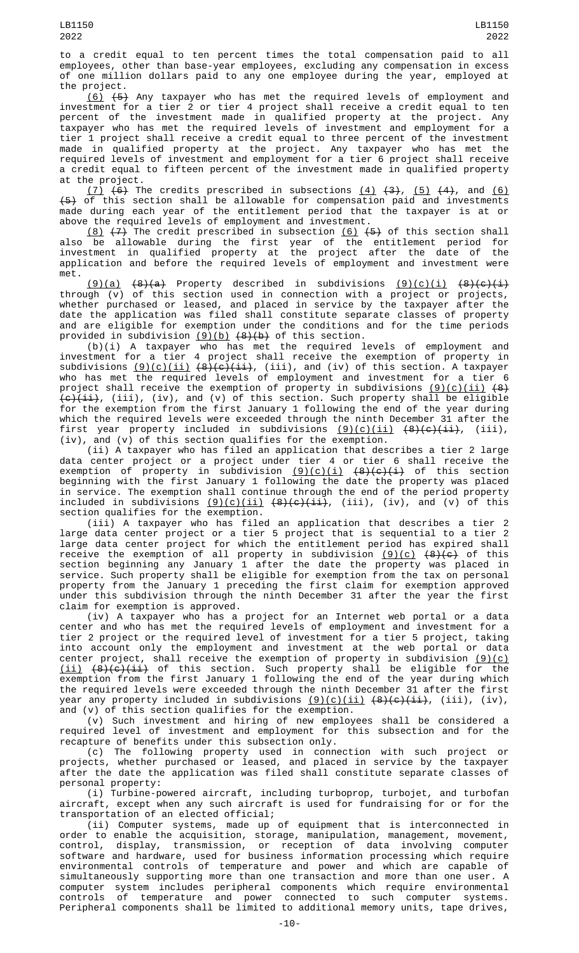to a credit equal to ten percent times the total compensation paid to all employees, other than base-year employees, excluding any compensation in excess of one million dollars paid to any one employee during the year, employed at the project.

(6) (5) Any taxpayer who has met the required levels of employment and investment for a tier 2 or tier 4 project shall receive a credit equal to ten percent of the investment made in qualified property at the project. Any taxpayer who has met the required levels of investment and employment for a tier 1 project shall receive a credit equal to three percent of the investment made in qualified property at the project. Any taxpayer who has met the required levels of investment and employment for a tier 6 project shall receive a credit equal to fifteen percent of the investment made in qualified property at the project.

(7)  $(6)$  The credits prescribed in subsections  $(4)$   $(3)$ ,  $(5)$   $(4)$ , and  $(6)$  $\textnormal{+5}$  of this section shall be allowable for compensation paid and investments made during each year of the entitlement period that the taxpayer is at or above the required levels of employment and investment.

<u>(8)</u> <del>(7)</del> The credit prescribed in subsection <u>(6)</u> <del>(5)</del> of this section shall also be allowable during the first year of the entitlement period for investment in qualified property at the project after the date of the application and before the required levels of employment and investment were met.

<u>(9)(a)</u> <del>(8)(a)</del> Property described in subdivisions <u>(9)(c)(i)</u> <del>(8)(c)(i)</del> through (v) of this section used in connection with a project or projects, whether purchased or leased, and placed in service by the taxpayer after the date the application was filed shall constitute separate classes of property and are eligible for exemption under the conditions and for the time periods provided in subdivision <u>(9)(b)</u> <del>(8)(b)</del> of this section.

(b)(i) A taxpayer who has met the required levels of employment and investment for a tier 4 project shall receive the exemption of property in subdivisions <u>(9)(c)(ii)</u> <del>(8)(c)(ii)</del>, (iii), and (iv) of this section. A taxpayer who has met the required levels of employment and investment for a tier 6 project shall receive the exemption of property in subdivisions <u>(9)(c)(ii)</u> <del>(8)</del> <del>(c)(ii)</del>, (iii), (iv), and (v) of this section. Such property shall be eligible for the exemption from the first January 1 following the end of the year during which the required levels were exceeded through the ninth December 31 after the first year property included in subdivisions <u>(9)(c)(ii)</u> <del>(8)(c)(ii)</del>, (iii), (iv), and (v) of this section qualifies for the exemption.

(ii) A taxpayer who has filed an application that describes a tier 2 large data center project or a project under tier 4 or tier 6 shall receive the exemption of property in subdivision <u>(9)(c)(i)</u> <del>(8)(c)(i)</del> of this section beginning with the first January 1 following the date the property was placed in service. The exemption shall continue through the end of the period property included in subdivisions <u>(9)(c)(ii)</u> <del>(8)(c)(ii)</del>, (iii), (iv), and (v) of this section qualifies for the exemption.

(iii) A taxpayer who has filed an application that describes a tier 2 large data center project or a tier 5 project that is sequential to a tier 2 large data center project for which the entitlement period has expired shall receive the exemption of all property in subdivision <u>(9)(c)</u>  $\left(8\right)\left(\infty\right)$  of this section beginning any January 1 after the date the property was placed in service. Such property shall be eligible for exemption from the tax on personal property from the January 1 preceding the first claim for exemption approved under this subdivision through the ninth December 31 after the year the first claim for exemption is approved.

(iv) A taxpayer who has a project for an Internet web portal or a data center and who has met the required levels of employment and investment for a tier 2 project or the required level of investment for a tier 5 project, taking into account only the employment and investment at the web portal or data center project, shall receive the exemption of property in subdivision  $(9)(c)$ (ii) (8)(c)(ii) of this section. Such property shall be eligible for the exemption from the first January 1 following the end of the year during which the required levels were exceeded through the ninth December 31 after the first year any property included in subdivisions  $(9)(c)(ii)$   $(8)(c)(ii)$ , (iii), (iv), and (v) of this section qualifies for the exemption.

(v) Such investment and hiring of new employees shall be considered a required level of investment and employment for this subsection and for the recapture of benefits under this subsection only.

(c) The following property used in connection with such project or projects, whether purchased or leased, and placed in service by the taxpayer after the date the application was filed shall constitute separate classes of personal property:

(i) Turbine-powered aircraft, including turboprop, turbojet, and turbofan aircraft, except when any such aircraft is used for fundraising for or for the transportation of an elected official;

(ii) Computer systems, made up of equipment that is interconnected in order to enable the acquisition, storage, manipulation, management, movement, control, display, transmission, or reception of data involving computer software and hardware, used for business information processing which require environmental controls of temperature and power and which are capable of simultaneously supporting more than one transaction and more than one user. A computer system includes peripheral components which require environmental controls of temperature and power connected to such computer systems. Peripheral components shall be limited to additional memory units, tape drives,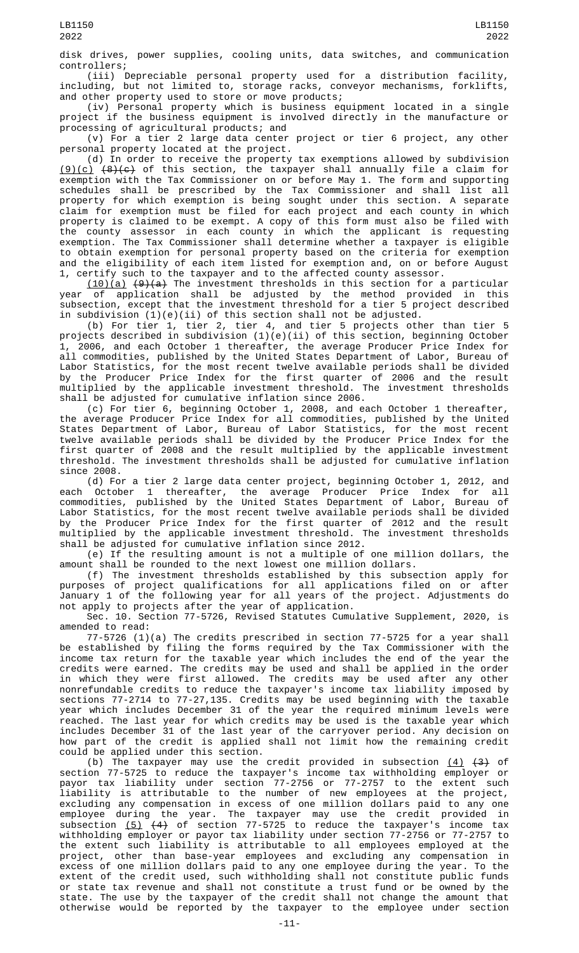disk drives, power supplies, cooling units, data switches, and communication controllers;

(iii) Depreciable personal property used for a distribution facility, including, but not limited to, storage racks, conveyor mechanisms, forklifts, and other property used to store or move products;

(iv) Personal property which is business equipment located in a single project if the business equipment is involved directly in the manufacture or processing of agricultural products; and

(v) For a tier 2 large data center project or tier 6 project, any other personal property located at the project.

(d) In order to receive the property tax exemptions allowed by subdivision <u>(9)(c)</u> <del>(8)(c)</del> of this section, the taxpayer shall annually file a claim for exemption with the Tax Commissioner on or before May 1. The form and supporting schedules shall be prescribed by the Tax Commissioner and shall list all property for which exemption is being sought under this section. A separate claim for exemption must be filed for each project and each county in which property is claimed to be exempt. A copy of this form must also be filed with the county assessor in each county in which the applicant is requesting exemption. The Tax Commissioner shall determine whether a taxpayer is eligible to obtain exemption for personal property based on the criteria for exemption and the eligibility of each item listed for exemption and, on or before August 1, certify such to the taxpayer and to the affected county assessor.

(10)(a) (9)(a) The investment thresholds in this section for a particular year of application shall be adjusted by the method provided in this subsection, except that the investment threshold for a tier 5 project described in subdivision (1)(e)(ii) of this section shall not be adjusted.

(b) For tier 1, tier 2, tier 4, and tier 5 projects other than tier 5 projects described in subdivision (1)(e)(ii) of this section, beginning October 1, 2006, and each October 1 thereafter, the average Producer Price Index for all commodities, published by the United States Department of Labor, Bureau of Labor Statistics, for the most recent twelve available periods shall be divided by the Producer Price Index for the first quarter of 2006 and the result multiplied by the applicable investment threshold. The investment thresholds shall be adjusted for cumulative inflation since 2006.

(c) For tier 6, beginning October 1, 2008, and each October 1 thereafter, the average Producer Price Index for all commodities, published by the United States Department of Labor, Bureau of Labor Statistics, for the most recent twelve available periods shall be divided by the Producer Price Index for the first quarter of 2008 and the result multiplied by the applicable investment threshold. The investment thresholds shall be adjusted for cumulative inflation since 2008.

(d) For a tier 2 large data center project, beginning October 1, 2012, and each October 1 thereafter, the average Producer Price Index for all commodities, published by the United States Department of Labor, Bureau of Labor Statistics, for the most recent twelve available periods shall be divided by the Producer Price Index for the first quarter of 2012 and the result multiplied by the applicable investment threshold. The investment thresholds shall be adjusted for cumulative inflation since 2012.

(e) If the resulting amount is not a multiple of one million dollars, the amount shall be rounded to the next lowest one million dollars.

(f) The investment thresholds established by this subsection apply for purposes of project qualifications for all applications filed on or after January 1 of the following year for all years of the project. Adjustments do not apply to projects after the year of application.

Sec. 10. Section 77-5726, Revised Statutes Cumulative Supplement, 2020, is amended to read:

77-5726 (1)(a) The credits prescribed in section 77-5725 for a year shall be established by filing the forms required by the Tax Commissioner with the income tax return for the taxable year which includes the end of the year the credits were earned. The credits may be used and shall be applied in the order in which they were first allowed. The credits may be used after any other nonrefundable credits to reduce the taxpayer's income tax liability imposed by sections 77-2714 to 77-27,135. Credits may be used beginning with the taxable year which includes December 31 of the year the required minimum levels were reached. The last year for which credits may be used is the taxable year which includes December 31 of the last year of the carryover period. Any decision on how part of the credit is applied shall not limit how the remaining credit could be applied under this section.

(b) The taxpayer may use the credit provided in subsection  $(4)$   $(3)$  of section 77-5725 to reduce the taxpayer's income tax withholding employer or payor tax liability under section 77-2756 or 77-2757 to the extent such liability is attributable to the number of new employees at the project, excluding any compensation in excess of one million dollars paid to any one employee during the year. The taxpayer may use the credit provided in subsection <u>(5)</u> <del>(4)</del> of section 77-5725 to reduce the taxpayer's income tax withholding employer or payor tax liability under section 77-2756 or 77-2757 to the extent such liability is attributable to all employees employed at the project, other than base-year employees and excluding any compensation in excess of one million dollars paid to any one employee during the year. To the extent of the credit used, such withholding shall not constitute public funds or state tax revenue and shall not constitute a trust fund or be owned by the state. The use by the taxpayer of the credit shall not change the amount that otherwise would be reported by the taxpayer to the employee under section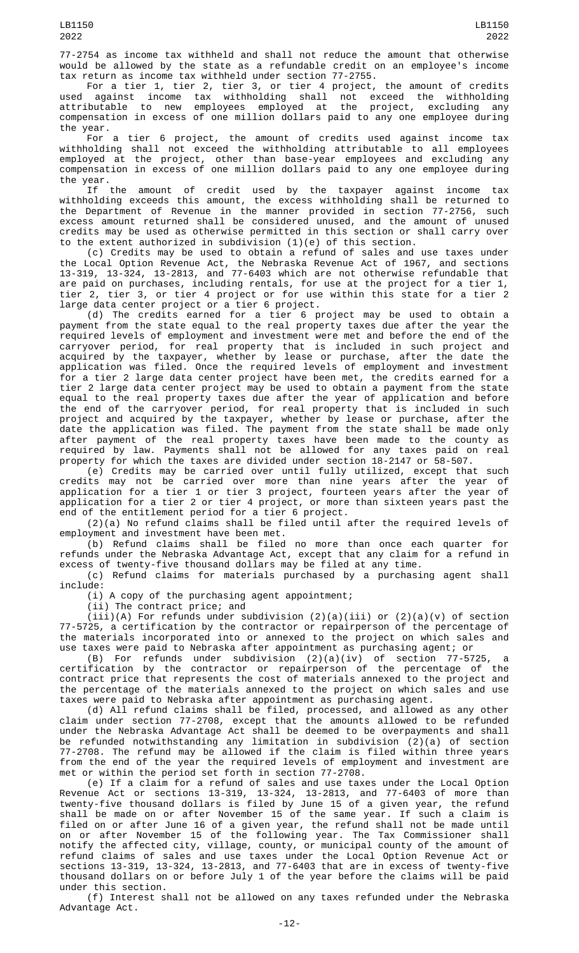77-2754 as income tax withheld and shall not reduce the amount that otherwise would be allowed by the state as a refundable credit on an employee's income tax return as income tax withheld under section 77-2755.

For a tier 1, tier 2, tier 3, or tier 4 project, the amount of credits used against income tax withholding shall not exceed the withholding attributable to new employees employed at the project, excluding any compensation in excess of one million dollars paid to any one employee during the year.

For a tier 6 project, the amount of credits used against income tax withholding shall not exceed the withholding attributable to all employees employed at the project, other than base-year employees and excluding any compensation in excess of one million dollars paid to any one employee during the year.

If the amount of credit used by the taxpayer against income tax withholding exceeds this amount, the excess withholding shall be returned to the Department of Revenue in the manner provided in section 77-2756, such excess amount returned shall be considered unused, and the amount of unused credits may be used as otherwise permitted in this section or shall carry over to the extent authorized in subdivision (1)(e) of this section.

(c) Credits may be used to obtain a refund of sales and use taxes under the Local Option Revenue Act, the Nebraska Revenue Act of 1967, and sections 13-319, 13-324, 13-2813, and 77-6403 which are not otherwise refundable that are paid on purchases, including rentals, for use at the project for a tier 1, tier 2, tier 3, or tier 4 project or for use within this state for a tier 2 large data center project or a tier 6 project.

(d) The credits earned for a tier 6 project may be used to obtain a payment from the state equal to the real property taxes due after the year the required levels of employment and investment were met and before the end of the carryover period, for real property that is included in such project and acquired by the taxpayer, whether by lease or purchase, after the date the application was filed. Once the required levels of employment and investment for a tier 2 large data center project have been met, the credits earned for a tier 2 large data center project may be used to obtain a payment from the state equal to the real property taxes due after the year of application and before the end of the carryover period, for real property that is included in such project and acquired by the taxpayer, whether by lease or purchase, after the date the application was filed. The payment from the state shall be made only after payment of the real property taxes have been made to the county as required by law. Payments shall not be allowed for any taxes paid on real property for which the taxes are divided under section 18-2147 or 58-507.

(e) Credits may be carried over until fully utilized, except that such credits may not be carried over more than nine years after the year of application for a tier 1 or tier 3 project, fourteen years after the year of application for a tier 2 or tier 4 project, or more than sixteen years past the end of the entitlement period for a tier 6 project.

(2)(a) No refund claims shall be filed until after the required levels of employment and investment have been met.

(b) Refund claims shall be filed no more than once each quarter for refunds under the Nebraska Advantage Act, except that any claim for a refund in excess of twenty-five thousand dollars may be filed at any time.

(c) Refund claims for materials purchased by a purchasing agent shall include:

(i) A copy of the purchasing agent appointment;

(ii) The contract price; and

(iii)(A) For refunds under subdivision (2)(a)(iii) or (2)(a)(v) of section 77-5725, a certification by the contractor or repairperson of the percentage of the materials incorporated into or annexed to the project on which sales and use taxes were paid to Nebraska after appointment as purchasing agent; or

(B) For refunds under subdivision (2)(a)(iv) of section 77-5725, a certification by the contractor or repairperson of the percentage of the contract price that represents the cost of materials annexed to the project and the percentage of the materials annexed to the project on which sales and use taxes were paid to Nebraska after appointment as purchasing agent.

(d) All refund claims shall be filed, processed, and allowed as any other claim under section 77-2708, except that the amounts allowed to be refunded under the Nebraska Advantage Act shall be deemed to be overpayments and shall be refunded notwithstanding any limitation in subdivision (2)(a) of section 77-2708. The refund may be allowed if the claim is filed within three years from the end of the year the required levels of employment and investment are met or within the period set forth in section 77-2708.

(e) If a claim for a refund of sales and use taxes under the Local Option Revenue Act or sections 13-319, 13-324, 13-2813, and 77-6403 of more than twenty-five thousand dollars is filed by June 15 of a given year, the refund shall be made on or after November 15 of the same year. If such a claim is filed on or after June 16 of a given year, the refund shall not be made until on or after November 15 of the following year. The Tax Commissioner shall notify the affected city, village, county, or municipal county of the amount of refund claims of sales and use taxes under the Local Option Revenue Act or sections 13-319, 13-324, 13-2813, and 77-6403 that are in excess of twenty-five thousand dollars on or before July 1 of the year before the claims will be paid under this section.

(f) Interest shall not be allowed on any taxes refunded under the Nebraska Advantage Act.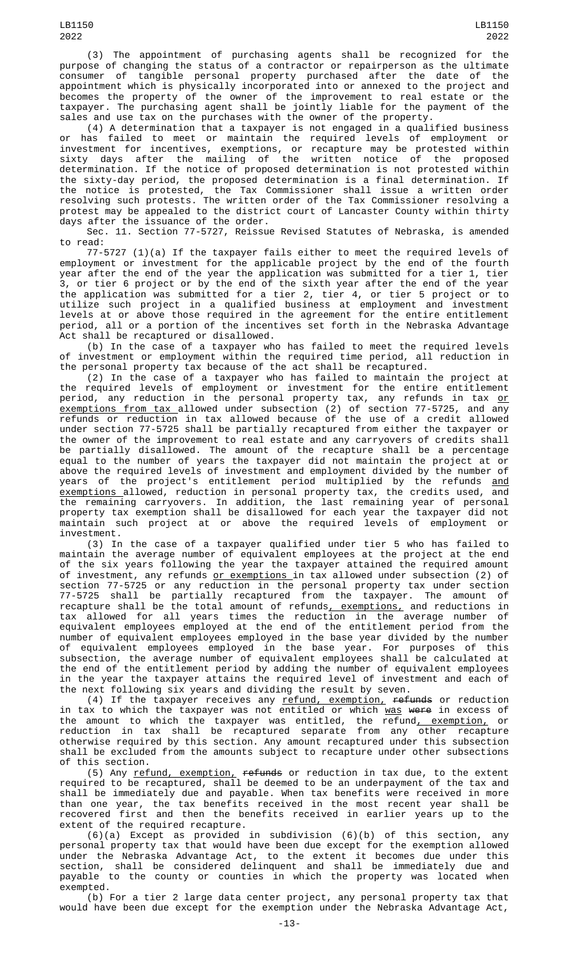LB1150

purpose of changing the status of a contractor or repairperson as the ultimate consumer of tangible personal property purchased after the date of appointment which is physically incorporated into or annexed to the project and becomes the property of the owner of the improvement to real estate or the taxpayer. The purchasing agent shall be jointly liable for the payment of the sales and use tax on the purchases with the owner of the property.

(4) A determination that a taxpayer is not engaged in a qualified business or has failed to meet or maintain the required levels of employment or investment for incentives, exemptions, or recapture may be protested within sixty days after the mailing of the written notice of the proposed determination. If the notice of proposed determination is not protested within the sixty-day period, the proposed determination is a final determination. If the notice is protested, the Tax Commissioner shall issue a written order resolving such protests. The written order of the Tax Commissioner resolving a protest may be appealed to the district court of Lancaster County within thirty days after the issuance of the order.

Sec. 11. Section 77-5727, Reissue Revised Statutes of Nebraska, is amended to read:

77-5727 (1)(a) If the taxpayer fails either to meet the required levels of employment or investment for the applicable project by the end of the fourth year after the end of the year the application was submitted for a tier 1, tier 3, or tier 6 project or by the end of the sixth year after the end of the year the application was submitted for a tier 2, tier 4, or tier 5 project or to utilize such project in a qualified business at employment and investment levels at or above those required in the agreement for the entire entitlement period, all or a portion of the incentives set forth in the Nebraska Advantage Act shall be recaptured or disallowed.

(b) In the case of a taxpayer who has failed to meet the required levels of investment or employment within the required time period, all reduction in the personal property tax because of the act shall be recaptured.

(2) In the case of a taxpayer who has failed to maintain the project at the required levels of employment or investment for the entire entitlement period, any reduction in the personal property tax, any refunds in tax <u>or</u> exemptions from tax allowed under subsection (2) of section 77-5725, and any refunds or reduction in tax allowed because of the use of a credit allowed under section 77-5725 shall be partially recaptured from either the taxpayer or the owner of the improvement to real estate and any carryovers of credits shall be partially disallowed. The amount of the recapture shall be a percentage equal to the number of years the taxpayer did not maintain the project at or above the required levels of investment and employment divided by the number of years of the project's entitlement period multiplied by the refunds <u>and</u> exemptions allowed, reduction in personal property tax, the credits used, and the remaining carryovers. In addition, the last remaining year of personal property tax exemption shall be disallowed for each year the taxpayer did not maintain such project at or above the required levels of employment or investment.

(3) In the case of a taxpayer qualified under tier 5 who has failed to maintain the average number of equivalent employees at the project at the end of the six years following the year the taxpayer attained the required amount of investment, any refunds <u>or exemptions </u>in tax allowed under subsection (2) of section 77-5725 or any reduction in the personal property tax under section 77-5725 shall be partially recaptured from the taxpayer. The amount of recapture shall be the total amount of refunds<u>, exemptions,</u> and reductions in tax allowed for all years times the reduction in the average number of equivalent employees employed at the end of the entitlement period from the number of equivalent employees employed in the base year divided by the number of equivalent employees employed in the base year. For purposes of this subsection, the average number of equivalent employees shall be calculated at the end of the entitlement period by adding the number of equivalent employees in the year the taxpayer attains the required level of investment and each of the next following six years and dividing the result by seven.

(4) If the taxpayer receives any <u>refund, exemption,</u> <del>refunds</del> or reduction in tax to which the taxpayer was not entitled or which <u>was</u> <del>were</del> in excess of the amount to which the taxpayer was entitled, the refund<u>, exemption,</u> or reduction in tax shall be recaptured separate from any other recapture otherwise required by this section. Any amount recaptured under this subsection shall be excluded from the amounts subject to recapture under other subsections of this section.

(5) Any refund, exemption, refunds or reduction in tax due, to the extent required to be recaptured, shall be deemed to be an underpayment of the tax and shall be immediately due and payable. When tax benefits were received in more than one year, the tax benefits received in the most recent year shall be recovered first and then the benefits received in earlier years up to the extent of the required recapture.

 $(6)(a)$  Except as provided in subdivision  $(6)(b)$  of this section, personal property tax that would have been due except for the exemption allowed under the Nebraska Advantage Act, to the extent it becomes due under this section, shall be considered delinquent and shall be immediately due and payable to the county or counties in which the property was located when exempted.

(b) For a tier 2 large data center project, any personal property tax that would have been due except for the exemption under the Nebraska Advantage Act,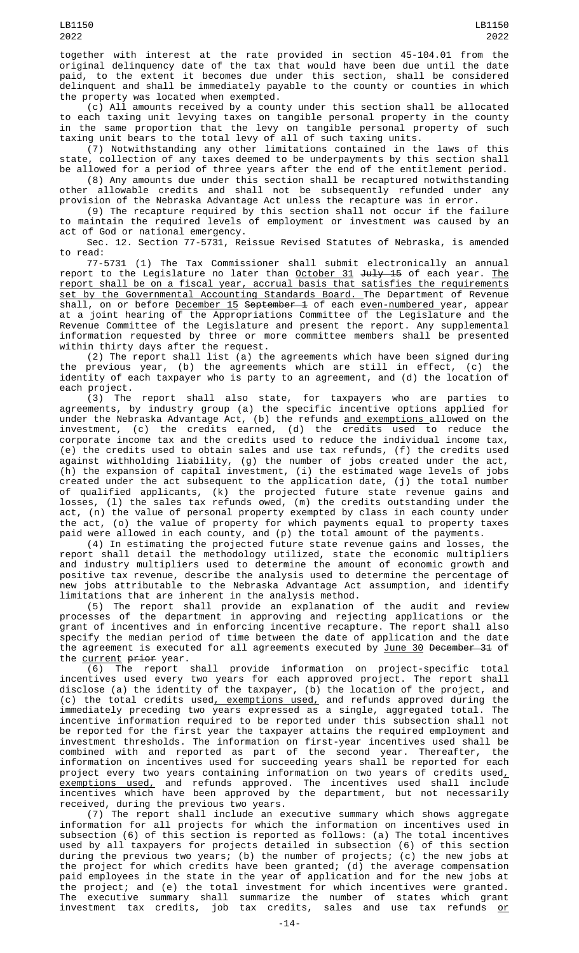together with interest at the rate provided in section 45-104.01 from the original delinquency date of the tax that would have been due until the date paid, to the extent it becomes due under this section, shall be considered delinquent and shall be immediately payable to the county or counties in which the property was located when exempted.

(c) All amounts received by a county under this section shall be allocated to each taxing unit levying taxes on tangible personal property in the county in the same proportion that the levy on tangible personal property of such taxing unit bears to the total levy of all of such taxing units.

(7) Notwithstanding any other limitations contained in the laws of this state, collection of any taxes deemed to be underpayments by this section shall be allowed for a period of three years after the end of the entitlement period.

(8) Any amounts due under this section shall be recaptured notwithstanding other allowable credits and shall not be subsequently refunded under any provision of the Nebraska Advantage Act unless the recapture was in error.

(9) The recapture required by this section shall not occur if the failure to maintain the required levels of employment or investment was caused by an act of God or national emergency.

Sec. 12. Section 77-5731, Reissue Revised Statutes of Nebraska, is amended to read:

77-5731 (1) The Tax Commissioner shall submit electronically an annual report to the Legislature no later than <u>October 31</u> <del>July 15</del> of each year. <u>The</u> report shall be on a fiscal year, accrual basis that satisfies the requirements set by the Governmental Accounting Standards Board. The Department of Revenue shall, on or before December 15 September 1 of each even-numbered year, appear at a joint hearing of the Appropriations Committee of the Legislature and the Revenue Committee of the Legislature and present the report. Any supplemental information requested by three or more committee members shall be presented within thirty days after the request.

(2) The report shall list (a) the agreements which have been signed during the previous year, (b) the agreements which are still in effect, (c) the identity of each taxpayer who is party to an agreement, and (d) the location of each project.

(3) The report shall also state, for taxpayers who are parties to agreements, by industry group (a) the specific incentive options applied for under the Nebraska Advantage Act, (b) the refunds <u>and exemptions </u>allowed on the investment, (c) the credits earned, (d) the credits used to reduce the corporate income tax and the credits used to reduce the individual income tax, (e) the credits used to obtain sales and use tax refunds, (f) the credits used against withholding liability, (g) the number of jobs created under the act, (h) the expansion of capital investment, (i) the estimated wage levels of jobs created under the act subsequent to the application date, (j) the total number of qualified applicants, (k) the projected future state revenue gains and losses, (l) the sales tax refunds owed, (m) the credits outstanding under the act, (n) the value of personal property exempted by class in each county under the act, (o) the value of property for which payments equal to property taxes paid were allowed in each county, and (p) the total amount of the payments.

(4) In estimating the projected future state revenue gains and losses, the report shall detail the methodology utilized, state the economic multipliers and industry multipliers used to determine the amount of economic growth and positive tax revenue, describe the analysis used to determine the percentage of new jobs attributable to the Nebraska Advantage Act assumption, and identify limitations that are inherent in the analysis method.

(5) The report shall provide an explanation of the audit and review processes of the department in approving and rejecting applications or the grant of incentives and in enforcing incentive recapture. The report shall also specify the median period of time between the date of application and the date the agreement is executed for all agreements executed by June 30 December 31 of the agreement is executed for all agreements executed by <u>June 30</u> <del>December 31</del> of the <u>current</u> <del>prior</del> year.

(6) The report shall provide information on project-specific total incentives used every two years for each approved project. The report shall disclose (a) the identity of the taxpayer, (b) the location of the project, and (c) the total credits used<u>, exemptions used,</u> and refunds approved during the immediately preceding two years expressed as a single, aggregated total. The incentive information required to be reported under this subsection shall not be reported for the first year the taxpayer attains the required employment and investment thresholds. The information on first-year incentives used shall be combined with and reported as part of the second year. Thereafter, the information on incentives used for succeeding years shall be reported for each project every two years containing information on two years of credits used $_{L}$ <u>exemptions used,</u> and refunds approved. The incentives used shall include incentives which have been approved by the department, but not necessarily received, during the previous two years.

(7) The report shall include an executive summary which shows aggregate information for all projects for which the information on incentives used in subsection (6) of this section is reported as follows: (a) The total incentives used by all taxpayers for projects detailed in subsection (6) of this section during the previous two years; (b) the number of projects; (c) the new jobs at the project for which credits have been granted; (d) the average compensation paid employees in the state in the year of application and for the new jobs at the project; and (e) the total investment for which incentives were granted. The executive summary shall summarize the number of states which grant investment tax credits, job tax credits, sales and use tax refunds <u>or</u>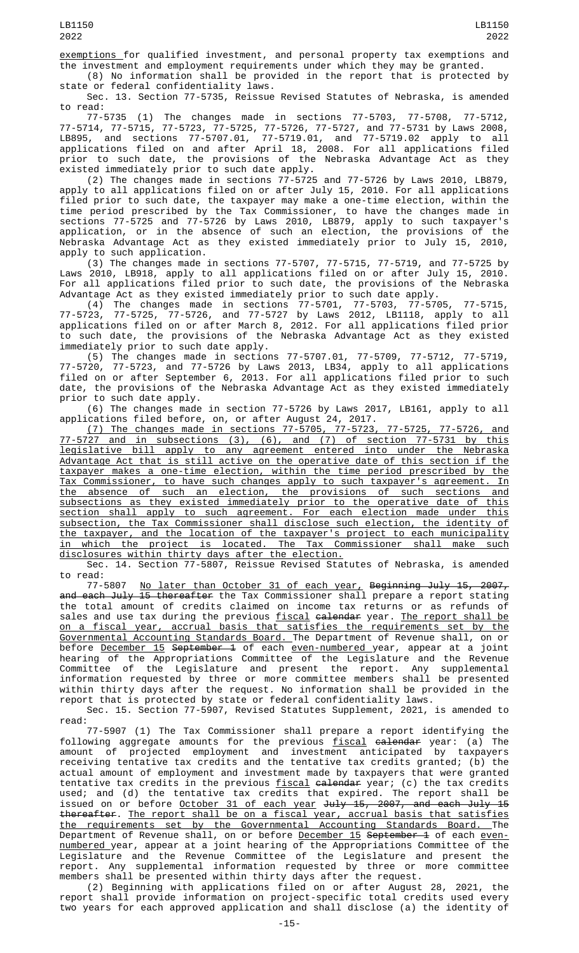exemptions for qualified investment, and personal property tax exemptions and the investment and employment requirements under which they may be granted.

(8) No information shall be provided in the report that is protected by state or federal confidentiality laws.

Sec. 13. Section 77-5735, Reissue Revised Statutes of Nebraska, is amended to read:

77-5735 (1) The changes made in sections 77-5703, 77-5708, 77-5712, 77-5714, 77-5715, 77-5723, 77-5725, 77-5726, 77-5727, and 77-5731 by Laws 2008, LB895, and sections 77-5707.01, 77-5719.01, and 77-5719.02 apply to all applications filed on and after April 18, 2008. For all applications filed prior to such date, the provisions of the Nebraska Advantage Act as they existed immediately prior to such date apply.

(2) The changes made in sections 77-5725 and 77-5726 by Laws 2010, LB879, apply to all applications filed on or after July 15, 2010. For all applications filed prior to such date, the taxpayer may make a one-time election, within the time period prescribed by the Tax Commissioner, to have the changes made in sections 77-5725 and 77-5726 by Laws 2010, LB879, apply to such taxpayer's application, or in the absence of such an election, the provisions of the Nebraska Advantage Act as they existed immediately prior to July 15, 2010, apply to such application.

(3) The changes made in sections 77-5707, 77-5715, 77-5719, and 77-5725 by Laws 2010, LB918, apply to all applications filed on or after July 15, 2010. For all applications filed prior to such date, the provisions of the Nebraska Advantage Act as they existed immediately prior to such date apply.

(4) The changes made in sections 77-5701, 77-5703, 77-5705, 77-5715, 77-5723, 77-5725, 77-5726, and 77-5727 by Laws 2012, LB1118, apply to all applications filed on or after March 8, 2012. For all applications filed prior to such date, the provisions of the Nebraska Advantage Act as they existed immediately prior to such date apply.

(5) The changes made in sections 77-5707.01, 77-5709, 77-5712, 77-5719, 77-5720, 77-5723, and 77-5726 by Laws 2013, LB34, apply to all applications filed on or after September 6, 2013. For all applications filed prior to such date, the provisions of the Nebraska Advantage Act as they existed immediately prior to such date apply.

(6) The changes made in section 77-5726 by Laws 2017, LB161, apply to all applications filed before, on, or after August 24, 2017.

(7) The changes made in sections 77-5705, 77-5723, 77-5725, 77-5726, and 77-5727 and in subsections (3), (6), and (7) of section 77-5731 by this legislative bill apply to any agreement entered into under the Nebraska Advantage Act that is still active on the operative date of this section if the taxpayer makes a one-time election, within the time period prescribed by the Tax Commissioner, to have such changes apply to such taxpayer's agreement. In the absence of such an election, the provisions of such sections and subsections as they existed immediately prior to the operative date of this section shall apply to such agreement. For each election made under this subsection, the Tax Commissioner shall disclose such election, the identity of the taxpayer, and the location of the taxpayer's project to each municipality in which the project is located. The Tax Commissioner shall make such disclosures within thirty days after the election.

Sec. 14. Section 77-5807, Reissue Revised Statutes of Nebraska, is amended to read:

77-5807 No later than October 31 of each year, Beginning July 15, 2007, <del>and each July 15 thereafter</del> the Tax Commissioner shall prepare a report stating the total amount of credits claimed on income tax returns or as refunds of sales and use tax during the previous <u>fiscal</u> <del>calendar</del> year. <u>The report shall be</u> on a fiscal year, accrual basis that satisfies the requirements set by the Governmental Accounting Standards Board. The Department of Revenue shall, on or before <u>December 15</u> S<del>eptember 1</del> of each <u>even-numbered y</u>ear, appear at a joint hearing of the Appropriations Committee of the Legislature and the Revenue Committee of the Legislature and present the report. Any supplemental information requested by three or more committee members shall be presented within thirty days after the request. No information shall be provided in the report that is protected by state or federal confidentiality laws.

Sec. 15. Section 77-5907, Revised Statutes Supplement, 2021, is amended to read:

77-5907 (1) The Tax Commissioner shall prepare a report identifying the following aggregate amounts for the previous fiscal calendar year: (a) The amount of projected employment and investment anticipated by taxpayers receiving tentative tax credits and the tentative tax credits granted; (b) the actual amount of employment and investment made by taxpayers that were granted tentative tax credits in the previous <u>fiscal</u> <del>calendar</del> year; (c) the tax credits used; and (d) the tentative tax credits that expired. The report shall be issued on or before <u>October 31 of each year</u> <del>July 15, 2007, and each July 15</del> thereafter. The report shall be on a fiscal year, accrual basis that satisfies the requirements set by the Governmental Accounting Standards Board. The Department of Revenue shall, on or before December 15 September 1 of each even-<u>numbered y</u>ear, appear at a joint hearing of the Appropriations Committee of the Legislature and the Revenue Committee of the Legislature and present the report. Any supplemental information requested by three or more committee members shall be presented within thirty days after the request.

(2) Beginning with applications filed on or after August 28, 2021, the report shall provide information on project-specific total credits used every two years for each approved application and shall disclose (a) the identity of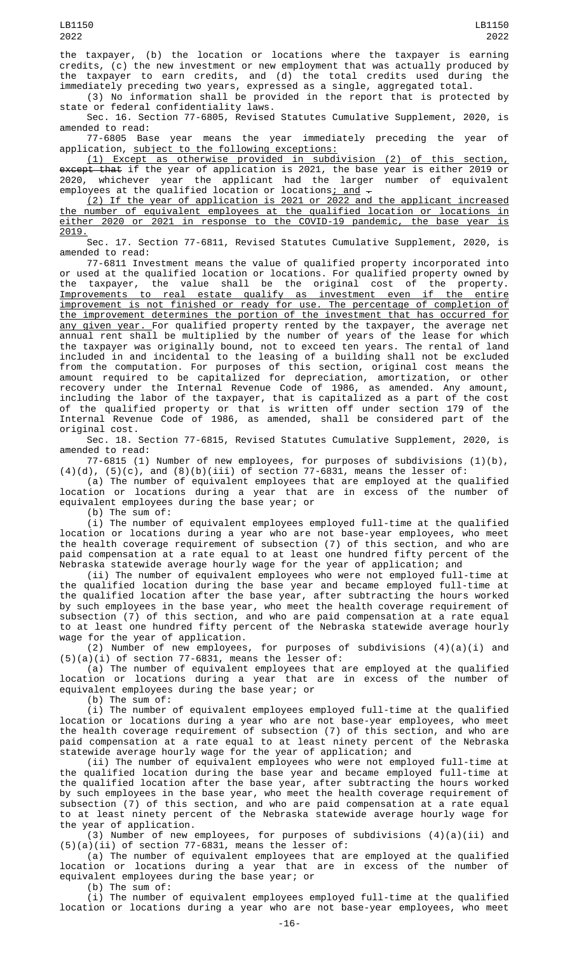the taxpayer, (b) the location or locations where the taxpayer is earning credits, (c) the new investment or new employment that was actually produced by the taxpayer to earn credits, and (d) the total credits used during the immediately preceding two years, expressed as a single, aggregated total.

(3) No information shall be provided in the report that is protected by state or federal confidentiality laws.

Sec. 16. Section 77-6805, Revised Statutes Cumulative Supplement, 2020, is amended to read:

77-6805 Base year means the year immediately preceding the year of application, subject to the following exceptions:

(1) Except as otherwise provided in subdivision (2) of this section, except that if the year of application is 2021, the base year is either 2019 or 2020, whichever year the applicant had the larger number of equivalent employees at the qualified location or locations<u>; and</u>  $\overline{\cdot}$ 

(2) If the year of application is 2021 or 2022 and the applicant increased the number of equivalent employees at the qualified location or locations in either 2020 or 2021 in response to the COVID-19 pandemic, the base year is 2019.

Sec. 17. Section 77-6811, Revised Statutes Cumulative Supplement, 2020, is amended to read:

77-6811 Investment means the value of qualified property incorporated into or used at the qualified location or locations. For qualified property owned by the taxpayer, the value shall be the original cost of the property. Improvements to real estate qualify as investment even if the entire improvement is not finished or ready for use. The percentage of completion of the improvement determines the portion of the investment that has occurred for any given year. For qualified property rented by the taxpayer, the average net annual rent shall be multiplied by the number of years of the lease for which the taxpayer was originally bound, not to exceed ten years. The rental of land included in and incidental to the leasing of a building shall not be excluded from the computation. For purposes of this section, original cost means the amount required to be capitalized for depreciation, amortization, or other recovery under the Internal Revenue Code of 1986, as amended. Any amount, including the labor of the taxpayer, that is capitalized as a part of the cost of the qualified property or that is written off under section 179 of the Internal Revenue Code of 1986, as amended, shall be considered part of the original cost.

Sec. 18. Section 77-6815, Revised Statutes Cumulative Supplement, 2020, is amended to read:

77-6815 (1) Number of new employees, for purposes of subdivisions (1)(b),

 $(4)(d)$ ,  $(5)(c)$ , and  $(8)(b)(iii)$  of section 77-6831, means the lesser of: (a) The number of equivalent employees that are employed at the qualified location or locations during a year that are in excess of the number of equivalent employees during the base year; or

(b) The sum of:

(i) The number of equivalent employees employed full-time at the qualified location or locations during a year who are not base-year employees, who meet the health coverage requirement of subsection (7) of this section, and who are paid compensation at a rate equal to at least one hundred fifty percent of the Nebraska statewide average hourly wage for the year of application; and

(ii) The number of equivalent employees who were not employed full-time at the qualified location during the base year and became employed full-time at the qualified location after the base year, after subtracting the hours worked by such employees in the base year, who meet the health coverage requirement of subsection (7) of this section, and who are paid compensation at a rate equal to at least one hundred fifty percent of the Nebraska statewide average hourly wage for the year of application.

(2) Number of new employees, for purposes of subdivisions  $(4)(a)(i)$  and  $(5)(a)(i)$  of section 77-6831, means the lesser of:

(a) The number of equivalent employees that are employed at the qualified location or locations during a year that are in excess of the number of equivalent employees during the base year; or

(b) The sum of:

(i) The number of equivalent employees employed full-time at the qualified location or locations during a year who are not base-year employees, who meet the health coverage requirement of subsection (7) of this section, and who are paid compensation at a rate equal to at least ninety percent of the Nebraska statewide average hourly wage for the year of application; and

(ii) The number of equivalent employees who were not employed full-time at the qualified location during the base year and became employed full-time at the qualified location after the base year, after subtracting the hours worked by such employees in the base year, who meet the health coverage requirement of subsection (7) of this section, and who are paid compensation at a rate equal to at least ninety percent of the Nebraska statewide average hourly wage for the year of application.

(3) Number of new employees, for purposes of subdivisions  $(4)(a)(ii)$  and  $(5)(a)(ii)$  of section 77-6831, means the lesser of:

(a) The number of equivalent employees that are employed at the qualified location or locations during a year that are in excess of the number of equivalent employees during the base year; or

(b) The sum of:

 $(i)$  The number of equivalent employees employed full-time at the qualified location or locations during a year who are not base-year employees, who meet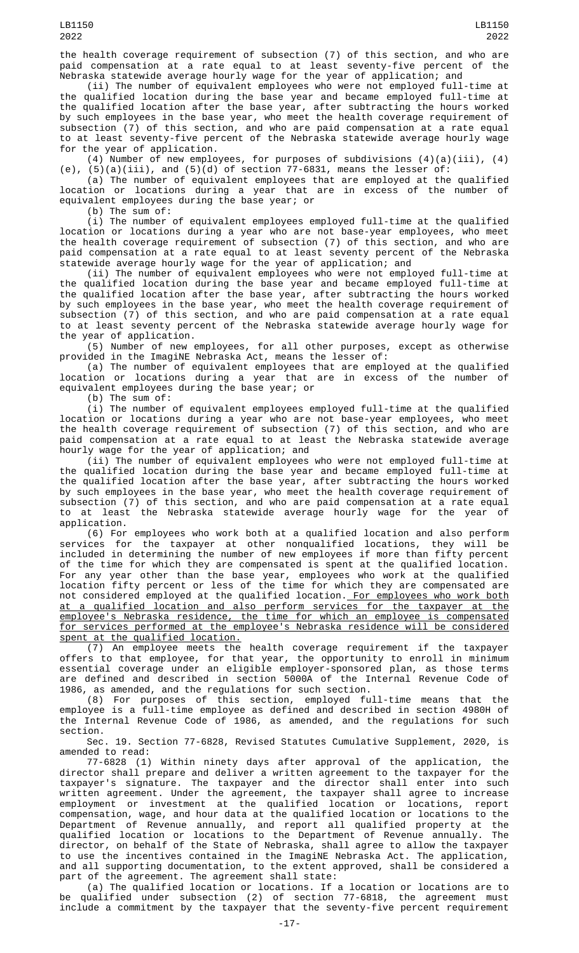the health coverage requirement of subsection (7) of this section, and who are paid compensation at a rate equal to at least seventy-five percent of the Nebraska statewide average hourly wage for the year of application; and

(ii) The number of equivalent employees who were not employed full-time at the qualified location during the base year and became employed full-time at the qualified location after the base year, after subtracting the hours worked by such employees in the base year, who meet the health coverage requirement of subsection (7) of this section, and who are paid compensation at a rate equal to at least seventy-five percent of the Nebraska statewide average hourly wage for the year of application.

(4) Number of new employees, for purposes of subdivisions  $(4)(a)(iii)$ ,  $(4)$ (e),  $(5)(a)(iii)$ , and  $(5)(d)$  of section 77-6831, means the lesser of:

(a) The number of equivalent employees that are employed at the qualified location or locations during a year that are in excess of the number of equivalent employees during the base year; or

(b) The sum of:

(i) The number of equivalent employees employed full-time at the qualified location or locations during a year who are not base-year employees, who meet the health coverage requirement of subsection (7) of this section, and who are paid compensation at a rate equal to at least seventy percent of the Nebraska statewide average hourly wage for the year of application; and

(ii) The number of equivalent employees who were not employed full-time at the qualified location during the base year and became employed full-time at the qualified location after the base year, after subtracting the hours worked by such employees in the base year, who meet the health coverage requirement of subsection (7) of this section, and who are paid compensation at a rate equal to at least seventy percent of the Nebraska statewide average hourly wage for the year of application.

(5) Number of new employees, for all other purposes, except as otherwise provided in the ImagiNE Nebraska Act, means the lesser of:

(a) The number of equivalent employees that are employed at the qualified location or locations during a year that are in excess of the number of equivalent employees during the base year; or

(b) The sum of:

(i) The number of equivalent employees employed full-time at the qualified location or locations during a year who are not base-year employees, who meet the health coverage requirement of subsection (7) of this section, and who are paid compensation at a rate equal to at least the Nebraska statewide average hourly wage for the year of application; and

(ii) The number of equivalent employees who were not employed full-time at the qualified location during the base year and became employed full-time at the qualified location after the base year, after subtracting the hours worked by such employees in the base year, who meet the health coverage requirement of subsection (7) of this section, and who are paid compensation at a rate equal to at least the Nebraska statewide average hourly wage for the year of application.

(6) For employees who work both at a qualified location and also perform services for the taxpayer at other nonqualified locations, they will be included in determining the number of new employees if more than fifty percent of the time for which they are compensated is spent at the qualified location. For any year other than the base year, employees who work at the qualified location fifty percent or less of the time for which they are compensated are not considered employed at the qualified location.<u> For employees who work both</u> at a qualified location and also perform services for the taxpayer at the employee's Nebraska residence, the time for which an employee is compensated for services performed at the employee's Nebraska residence will be considered spent at the qualified location.

(7) An employee meets the health coverage requirement if the taxpayer offers to that employee, for that year, the opportunity to enroll in minimum essential coverage under an eligible employer-sponsored plan, as those terms are defined and described in section 5000A of the Internal Revenue Code of 1986, as amended, and the regulations for such section.

(8) For purposes of this section, employed full-time means that the employee is a full-time employee as defined and described in section 4980H of the Internal Revenue Code of 1986, as amended, and the regulations for such section.

Sec. 19. Section 77-6828, Revised Statutes Cumulative Supplement, 2020, is

amended to read:<br>77-6828 (1) Within ninety days after approval of the application, 77-6828 (1) Within ninety days after approval of the application, the director shall prepare and deliver a written agreement to the taxpayer for the taxpayer's signature. The taxpayer and the director shall enter into such written agreement. Under the agreement, the taxpayer shall agree to increase employment or investment at the qualified location or locations, report compensation, wage, and hour data at the qualified location or locations to the Department of Revenue annually, and report all qualified property at the qualified location or locations to the Department of Revenue annually. The director, on behalf of the State of Nebraska, shall agree to allow the taxpayer to use the incentives contained in the ImagiNE Nebraska Act. The application, and all supporting documentation, to the extent approved, shall be considered a part of the agreement. The agreement shall state:

(a) The qualified location or locations. If a location or locations are to be qualified under subsection (2) of section 77-6818, the agreement must include a commitment by the taxpayer that the seventy-five percent requirement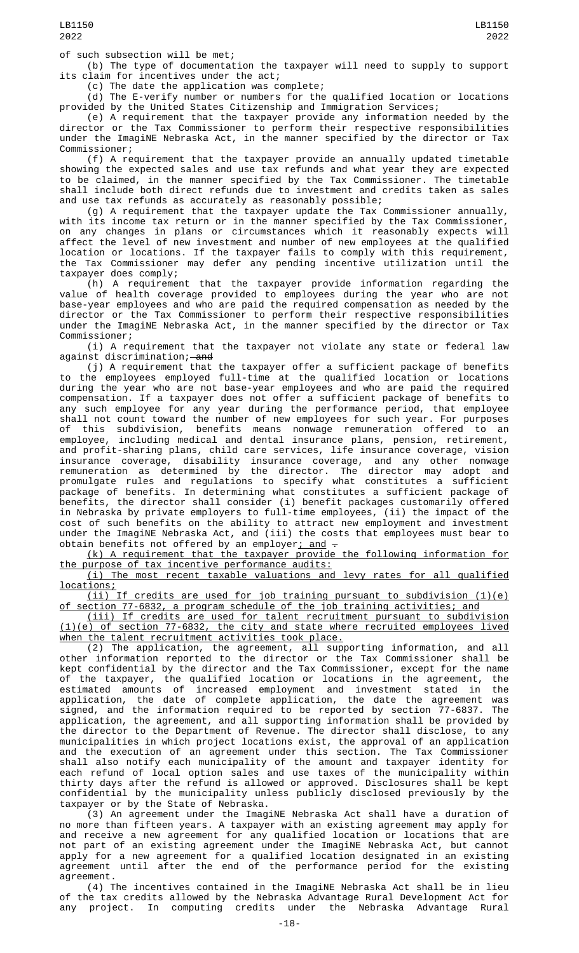of such subsection will be met;

(b) The type of documentation the taxpayer will need to supply to support its claim for incentives under the act;

(c) The date the application was complete;

(d) The E-verify number or numbers for the qualified location or locations provided by the United States Citizenship and Immigration Services;

(e) A requirement that the taxpayer provide any information needed by the director or the Tax Commissioner to perform their respective responsibilities under the ImagiNE Nebraska Act, in the manner specified by the director or Tax Commissioner;

(f) A requirement that the taxpayer provide an annually updated timetable showing the expected sales and use tax refunds and what year they are expected to be claimed, in the manner specified by the Tax Commissioner. The timetable shall include both direct refunds due to investment and credits taken as sales and use tax refunds as accurately as reasonably possible;

(g) A requirement that the taxpayer update the Tax Commissioner annually, with its income tax return or in the manner specified by the Tax Commissioner, on any changes in plans or circumstances which it reasonably expects will affect the level of new investment and number of new employees at the qualified location or locations. If the taxpayer fails to comply with this requirement, the Tax Commissioner may defer any pending incentive utilization until the taxpayer does comply;

(h) A requirement that the taxpayer provide information regarding the value of health coverage provided to employees during the year who are not base-year employees and who are paid the required compensation as needed by the director or the Tax Commissioner to perform their respective responsibilities under the ImagiNE Nebraska Act, in the manner specified by the director or Tax Commissioner;

(i) A requirement that the taxpayer not violate any state or federal law against discrimination;—<del>and</del>

(j) A requirement that the taxpayer offer a sufficient package of benefits to the employees employed full-time at the qualified location or locations during the year who are not base-year employees and who are paid the required compensation. If a taxpayer does not offer a sufficient package of benefits to any such employee for any year during the performance period, that employee shall not count toward the number of new employees for such year. For purposes of this subdivision, benefits means nonwage remuneration offered to an employee, including medical and dental insurance plans, pension, retirement, and profit-sharing plans, child care services, life insurance coverage, vision insurance coverage, disability insurance coverage, and any other nonwage remuneration as determined by the director. The director may adopt and promulgate rules and regulations to specify what constitutes a sufficient package of benefits. In determining what constitutes a sufficient package of benefits, the director shall consider (i) benefit packages customarily offered in Nebraska by private employers to full-time employees, (ii) the impact of the cost of such benefits on the ability to attract new employment and investment under the ImagiNE Nebraska Act, and (iii) the costs that employees must bear to obtain benefits not offered by an employer<u>; and</u>  $\texttt{-}$ 

(k) A requirement that the taxpayer provide the following information for the purpose of tax incentive performance audits:

(i) The most recent taxable valuations and levy rates for all qualified locations;

(ii) If credits are used for job training pursuant to subdivision (1)(e) section 77-6832, a program schedule of the job training activities; and

(iii) If credits are used for talent recruitment pursuant to subdivision (1)(e) of section 77-6832, the city and state where recruited employees lived when the talent recruitment activities took place.

(2) The application, the agreement, all supporting information, and all other information reported to the director or the Tax Commissioner shall be kept confidential by the director and the Tax Commissioner, except for the name of the taxpayer, the qualified location or locations in the agreement, the estimated amounts of increased employment and investment stated in the application, the date of complete application, the date the agreement was signed, and the information required to be reported by section 77-6837. The application, the agreement, and all supporting information shall be provided by the director to the Department of Revenue. The director shall disclose, to any municipalities in which project locations exist, the approval of an application and the execution of an agreement under this section. The Tax Commissioner shall also notify each municipality of the amount and taxpayer identity for each refund of local option sales and use taxes of the municipality within thirty days after the refund is allowed or approved. Disclosures shall be kept confidential by the municipality unless publicly disclosed previously by the taxpayer or by the State of Nebraska.

(3) An agreement under the ImagiNE Nebraska Act shall have a duration of no more than fifteen years. A taxpayer with an existing agreement may apply for and receive a new agreement for any qualified location or locations that are not part of an existing agreement under the ImagiNE Nebraska Act, but cannot apply for a new agreement for a qualified location designated in an existing agreement until after the end of the performance period for the existing agreement.

(4) The incentives contained in the ImagiNE Nebraska Act shall be in lieu of the tax credits allowed by the Nebraska Advantage Rural Development Act for any project. In computing credits under the Nebraska Advantage Rural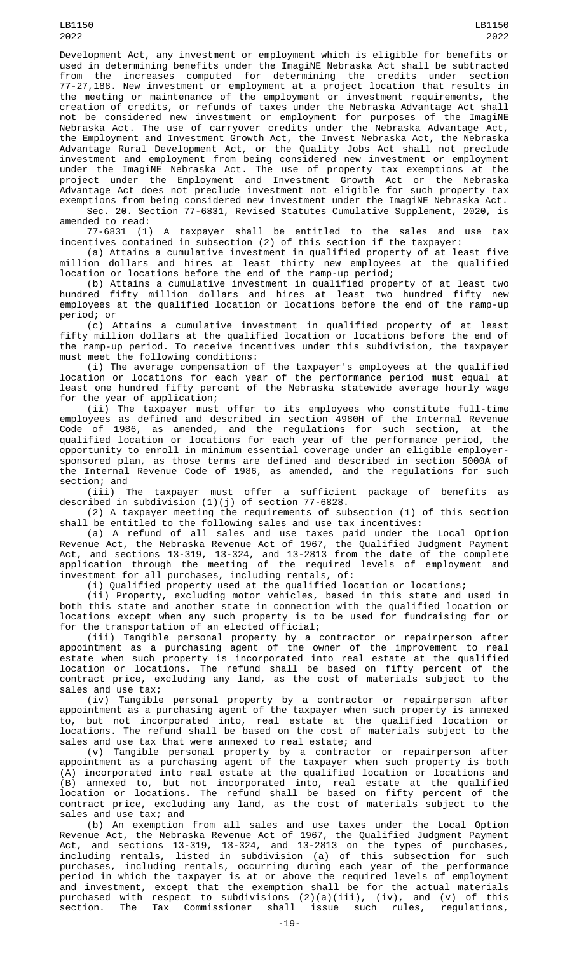Development Act, any investment or employment which is eligible for benefits or used in determining benefits under the ImagiNE Nebraska Act shall be subtracted from the increases computed for determining the credits under section 77-27,188. New investment or employment at a project location that results in the meeting or maintenance of the employment or investment requirements, the creation of credits, or refunds of taxes under the Nebraska Advantage Act shall not be considered new investment or employment for purposes of the ImagiNE Nebraska Act. The use of carryover credits under the Nebraska Advantage Act, the Employment and Investment Growth Act, the Invest Nebraska Act, the Nebraska Advantage Rural Development Act, or the Quality Jobs Act shall not preclude investment and employment from being considered new investment or employment under the ImagiNE Nebraska Act. The use of property tax exemptions at the project under the Employment and Investment Growth Act or the Nebraska Advantage Act does not preclude investment not eligible for such property tax exemptions from being considered new investment under the ImagiNE Nebraska Act.

Sec. 20. Section 77-6831, Revised Statutes Cumulative Supplement, 2020, is amended to read:

77-6831 (1) A taxpayer shall be entitled to the sales and use tax incentives contained in subsection (2) of this section if the taxpayer:

(a) Attains a cumulative investment in qualified property of at least five million dollars and hires at least thirty new employees at the qualified location or locations before the end of the ramp-up period;

(b) Attains a cumulative investment in qualified property of at least two hundred fifty million dollars and hires at least two hundred fifty new employees at the qualified location or locations before the end of the ramp-up period; or

(c) Attains a cumulative investment in qualified property of at least fifty million dollars at the qualified location or locations before the end of the ramp-up period. To receive incentives under this subdivision, the taxpayer must meet the following conditions:

(i) The average compensation of the taxpayer's employees at the qualified location or locations for each year of the performance period must equal at least one hundred fifty percent of the Nebraska statewide average hourly wage for the year of application;

(ii) The taxpayer must offer to its employees who constitute full-time employees as defined and described in section 4980H of the Internal Revenue Code of 1986, as amended, and the regulations for such section, at the qualified location or locations for each year of the performance period, the opportunity to enroll in minimum essential coverage under an eligible employersponsored plan, as those terms are defined and described in section 5000A of the Internal Revenue Code of 1986, as amended, and the regulations for such

section; and<br>(iii) The taxpayer must offer a sufficient package of benefits as described in subdivision (1)(j) of section 77-6828.

(2) A taxpayer meeting the requirements of subsection (1) of this section shall be entitled to the following sales and use tax incentives:

(a) A refund of all sales and use taxes paid under the Local Option Revenue Act, the Nebraska Revenue Act of 1967, the Qualified Judgment Payment Act, and sections 13-319, 13-324, and 13-2813 from the date of the complete application through the meeting of the required levels of employment and investment for all purchases, including rentals, of:

(i) Qualified property used at the qualified location or locations;

(ii) Property, excluding motor vehicles, based in this state and used in both this state and another state in connection with the qualified location or locations except when any such property is to be used for fundraising for or for the transportation of an elected official;

(iii) Tangible personal property by a contractor or repairperson after appointment as a purchasing agent of the owner of the improvement to real estate when such property is incorporated into real estate at the qualified location or locations. The refund shall be based on fifty percent of the contract price, excluding any land, as the cost of materials subject to the sales and use tax;

(iv) Tangible personal property by a contractor or repairperson after appointment as a purchasing agent of the taxpayer when such property is annexed to, but not incorporated into, real estate at the qualified location or locations. The refund shall be based on the cost of materials subject to the sales and use tax that were annexed to real estate; and

(v) Tangible personal property by a contractor or repairperson after appointment as a purchasing agent of the taxpayer when such property is both (A) incorporated into real estate at the qualified location or locations and (B) annexed to, but not incorporated into, real estate at the qualified location or locations. The refund shall be based on fifty percent of the contract price, excluding any land, as the cost of materials subject to the sales and use tax; and

(b) An exemption from all sales and use taxes under the Local Option Revenue Act, the Nebraska Revenue Act of 1967, the Qualified Judgment Payment Act, and sections 13-319, 13-324, and 13-2813 on the types of purchases, including rentals, listed in subdivision (a) of this subsection for such purchases, including rentals, occurring during each year of the performance period in which the taxpayer is at or above the required levels of employment and investment, except that the exemption shall be for the actual materials purchased with respect to subdivisions (2)(a)(iii), (iv), and (v) of this section. The Tax Commissioner shall issue such rules, regulations,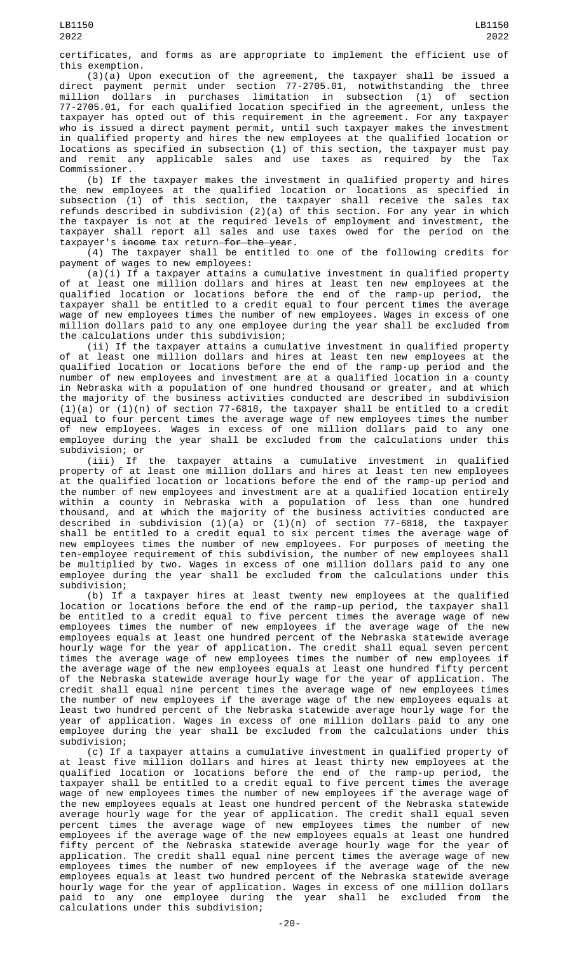certificates, and forms as are appropriate to implement the efficient use of this exemption.

(3)(a) Upon execution of the agreement, the taxpayer shall be issued a direct payment permit under section 77-2705.01, notwithstanding the three million dollars in purchases limitation in subsection (1) of section 77-2705.01, for each qualified location specified in the agreement, unless the taxpayer has opted out of this requirement in the agreement. For any taxpayer who is issued a direct payment permit, until such taxpayer makes the investment in qualified property and hires the new employees at the qualified location or locations as specified in subsection (1) of this section, the taxpayer must pay and remit any applicable sales and use taxes as required by the Tax Commissioner.

(b) If the taxpayer makes the investment in qualified property and hires the new employees at the qualified location or locations as specified in subsection (1) of this section, the taxpayer shall receive the sales tax refunds described in subdivision (2)(a) of this section. For any year in which the taxpayer is not at the required levels of employment and investment, the taxpayer shall report all sales and use taxes owed for the period on the taxpayer's <del>income</del> tax return<del>for the year</del>.

(4) The taxpayer shall be entitled to one of the following credits for payment of wages to new employees:

(a)(i) If a taxpayer attains a cumulative investment in qualified property of at least one million dollars and hires at least ten new employees at the qualified location or locations before the end of the ramp-up period, the taxpayer shall be entitled to a credit equal to four percent times the average wage of new employees times the number of new employees. Wages in excess of one million dollars paid to any one employee during the year shall be excluded from the calculations under this subdivision;

(ii) If the taxpayer attains a cumulative investment in qualified property of at least one million dollars and hires at least ten new employees at the qualified location or locations before the end of the ramp-up period and the number of new employees and investment are at a qualified location in a county in Nebraska with a population of one hundred thousand or greater, and at which the majority of the business activities conducted are described in subdivision  $(1)(a)$  or  $(1)(n)$  of section 77-6818, the taxpayer shall be entitled to a credit equal to four percent times the average wage of new employees times the number of new employees. Wages in excess of one million dollars paid to any one employee during the year shall be excluded from the calculations under this subdivision; or

(iii) If the taxpayer attains a cumulative investment in qualified property of at least one million dollars and hires at least ten new employees at the qualified location or locations before the end of the ramp-up period and the number of new employees and investment are at a qualified location entirely within a county in Nebraska with a population of less than one hundred thousand, and at which the majority of the business activities conducted are described in subdivision (1)(a) or (1)(n) of section 77-6818, the taxpayer shall be entitled to a credit equal to six percent times the average wage of new employees times the number of new employees. For purposes of meeting the ten-employee requirement of this subdivision, the number of new employees shall be multiplied by two. Wages in excess of one million dollars paid to any one employee during the year shall be excluded from the calculations under this subdivision;

(b) If a taxpayer hires at least twenty new employees at the qualified location or locations before the end of the ramp-up period, the taxpayer shall be entitled to a credit equal to five percent times the average wage of new employees times the number of new employees if the average wage of the new employees equals at least one hundred percent of the Nebraska statewide average hourly wage for the year of application. The credit shall equal seven percent times the average wage of new employees times the number of new employees if the average wage of the new employees equals at least one hundred fifty percent of the Nebraska statewide average hourly wage for the year of application. The credit shall equal nine percent times the average wage of new employees times the number of new employees if the average wage of the new employees equals at least two hundred percent of the Nebraska statewide average hourly wage for the year of application. Wages in excess of one million dollars paid to any one employee during the year shall be excluded from the calculations under this subdivision;

(c) If a taxpayer attains a cumulative investment in qualified property of at least five million dollars and hires at least thirty new employees at the qualified location or locations before the end of the ramp-up period, the taxpayer shall be entitled to a credit equal to five percent times the average wage of new employees times the number of new employees if the average wage of the new employees equals at least one hundred percent of the Nebraska statewide average hourly wage for the year of application. The credit shall equal seven percent times the average wage of new employees times the number of new employees if the average wage of the new employees equals at least one hundred fifty percent of the Nebraska statewide average hourly wage for the year of application. The credit shall equal nine percent times the average wage of new employees times the number of new employees if the average wage of the new employees equals at least two hundred percent of the Nebraska statewide average hourly wage for the year of application. Wages in excess of one million dollars paid to any one employee during the year shall be excluded from the calculations under this subdivision;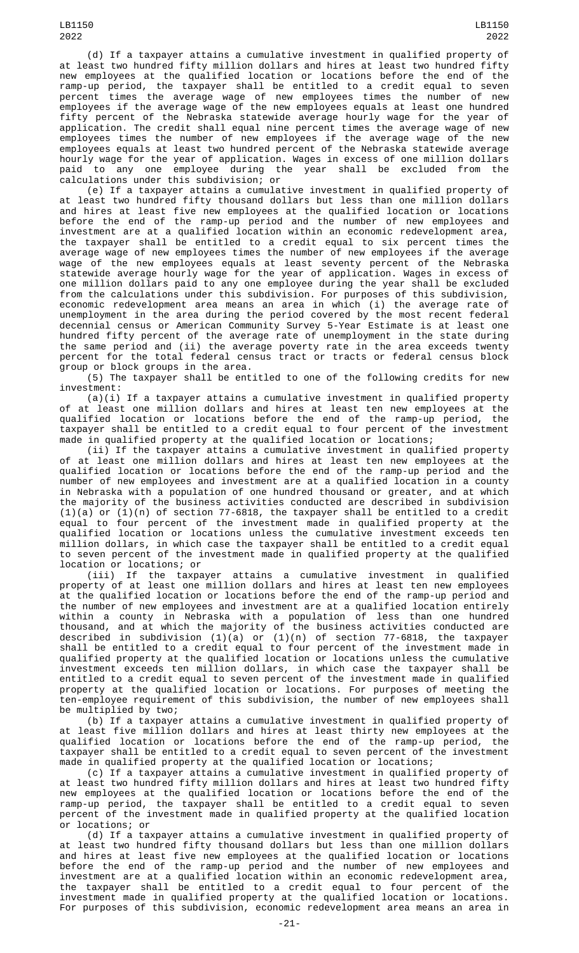LB1150 2022

(d) If a taxpayer attains a cumulative investment in qualified property of at least two hundred fifty million dollars and hires at least two hundred fifty new employees at the qualified location or locations before the end of the 2022

LB1150

ramp-up period, the taxpayer shall be entitled to a credit equal to seven percent times the average wage of new employees times the number of new employees if the average wage of the new employees equals at least one hundred fifty percent of the Nebraska statewide average hourly wage for the year of application. The credit shall equal nine percent times the average wage of new employees times the number of new employees if the average wage of the new employees equals at least two hundred percent of the Nebraska statewide average hourly wage for the year of application. Wages in excess of one million dollars<br>paid to any one employee during the year shall be excluded from the to any one employee during the year shall be excluded from calculations under this subdivision; or

(e) If a taxpayer attains a cumulative investment in qualified property of at least two hundred fifty thousand dollars but less than one million dollars and hires at least five new employees at the qualified location or locations before the end of the ramp-up period and the number of new employees and investment are at a qualified location within an economic redevelopment area, the taxpayer shall be entitled to a credit equal to six percent times the average wage of new employees times the number of new employees if the average wage of the new employees equals at least seventy percent of the Nebraska statewide average hourly wage for the year of application. Wages in excess of one million dollars paid to any one employee during the year shall be excluded from the calculations under this subdivision. For purposes of this subdivision, economic redevelopment area means an area in which (i) the average rate of unemployment in the area during the period covered by the most recent federal decennial census or American Community Survey 5-Year Estimate is at least one hundred fifty percent of the average rate of unemployment in the state during the same period and (ii) the average poverty rate in the area exceeds twenty percent for the total federal census tract or tracts or federal census block group or block groups in the area.

(5) The taxpayer shall be entitled to one of the following credits for new investment:

(a)(i) If a taxpayer attains a cumulative investment in qualified property of at least one million dollars and hires at least ten new employees at the qualified location or locations before the end of the ramp-up period, the taxpayer shall be entitled to a credit equal to four percent of the investment made in qualified property at the qualified location or locations;

(ii) If the taxpayer attains a cumulative investment in qualified property of at least one million dollars and hires at least ten new employees at the qualified location or locations before the end of the ramp-up period and the number of new employees and investment are at a qualified location in a county in Nebraska with a population of one hundred thousand or greater, and at which the majority of the business activities conducted are described in subdivision (1)(a) or (1)(n) of section 77-6818, the taxpayer shall be entitled to a credit equal to four percent of the investment made in qualified property at the qualified location or locations unless the cumulative investment exceeds ten million dollars, in which case the taxpayer shall be entitled to a credit equal to seven percent of the investment made in qualified property at the qualified location or locations; or

(iii) If the taxpayer attains a cumulative investment in qualified property of at least one million dollars and hires at least ten new employees at the qualified location or locations before the end of the ramp-up period and the number of new employees and investment are at a qualified location entirely within a county in Nebraska with a population of less than one hundred thousand, and at which the majority of the business activities conducted are described in subdivision (1)(a) or (1)(n) of section 77-6818, the taxpayer shall be entitled to a credit equal to four percent of the investment made in qualified property at the qualified location or locations unless the cumulative investment exceeds ten million dollars, in which case the taxpayer shall be entitled to a credit equal to seven percent of the investment made in qualified property at the qualified location or locations. For purposes of meeting the ten-employee requirement of this subdivision, the number of new employees shall be multiplied by two;

(b) If a taxpayer attains a cumulative investment in qualified property of at least five million dollars and hires at least thirty new employees at the qualified location or locations before the end of the ramp-up period, the taxpayer shall be entitled to a credit equal to seven percent of the investment made in qualified property at the qualified location or locations;

(c) If a taxpayer attains a cumulative investment in qualified property of at least two hundred fifty million dollars and hires at least two hundred fifty new employees at the qualified location or locations before the end of the ramp-up period, the taxpayer shall be entitled to a credit equal to seven percent of the investment made in qualified property at the qualified location or locations; or

(d) If a taxpayer attains a cumulative investment in qualified property of at least two hundred fifty thousand dollars but less than one million dollars and hires at least five new employees at the qualified location or locations before the end of the ramp-up period and the number of new employees and investment are at a qualified location within an economic redevelopment area, the taxpayer shall be entitled to a credit equal to four percent of the investment made in qualified property at the qualified location or locations. For purposes of this subdivision, economic redevelopment area means an area in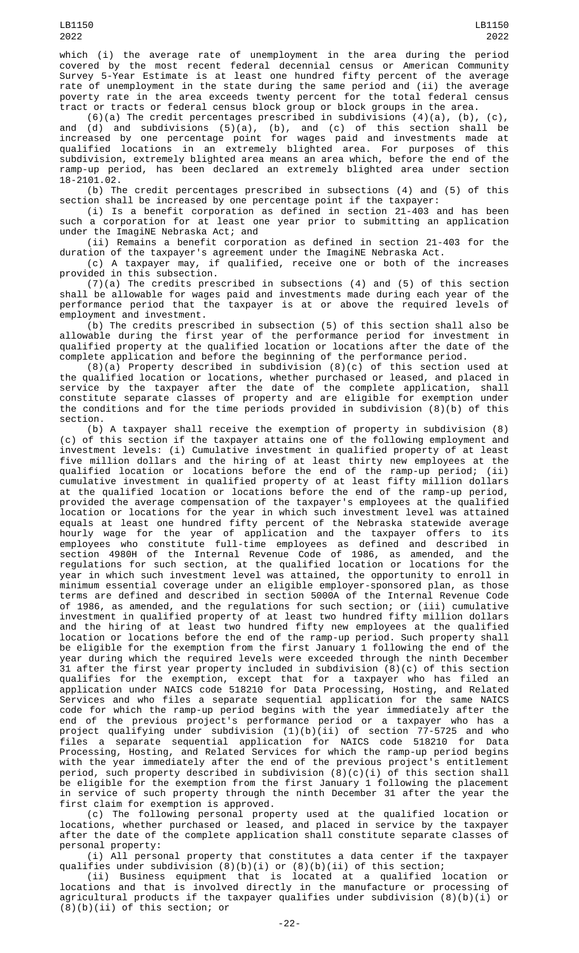which (i) the average rate of unemployment in the area during the period covered by the most recent federal decennial census or American Community Survey 5-Year Estimate is at least one hundred fifty percent of the average rate of unemployment in the state during the same period and (ii) the average poverty rate in the area exceeds twenty percent for the total federal census tract or tracts or federal census block group or block groups in the area.

(6)(a) The credit percentages prescribed in subdivisions  $(4)(a)$ ,  $(b)$ ,  $(c)$ , and (d) and subdivisions (5)(a), (b), and (c) of this section shall be increased by one percentage point for wages paid and investments made at qualified locations in an extremely blighted area. For purposes of this subdivision, extremely blighted area means an area which, before the end of the ramp-up period, has been declared an extremely blighted area under section 18-2101.02.

(b) The credit percentages prescribed in subsections (4) and (5) of this section shall be increased by one percentage point if the taxpayer:

(i) Is a benefit corporation as defined in section 21-403 and has been such a corporation for at least one year prior to submitting an application under the ImagiNE Nebraska Act; and

(ii) Remains a benefit corporation as defined in section 21-403 for the duration of the taxpayer's agreement under the ImagiNE Nebraska Act.

(c) A taxpayer may, if qualified, receive one or both of the increases provided in this subsection.

(7)(a) The credits prescribed in subsections (4) and (5) of this section shall be allowable for wages paid and investments made during each year of the performance period that the taxpayer is at or above the required levels of employment and investment.

(b) The credits prescribed in subsection (5) of this section shall also be allowable during the first year of the performance period for investment in qualified property at the qualified location or locations after the date of the complete application and before the beginning of the performance period.

(8)(a) Property described in subdivision (8)(c) of this section used at the qualified location or locations, whether purchased or leased, and placed in service by the taxpayer after the date of the complete application, shall constitute separate classes of property and are eligible for exemption under the conditions and for the time periods provided in subdivision (8)(b) of this section.

(b) A taxpayer shall receive the exemption of property in subdivision (8) (c) of this section if the taxpayer attains one of the following employment and investment levels: (i) Cumulative investment in qualified property of at least five million dollars and the hiring of at least thirty new employees at the qualified location or locations before the end of the ramp-up period; (ii) cumulative investment in qualified property of at least fifty million dollars at the qualified location or locations before the end of the ramp-up period, provided the average compensation of the taxpayer's employees at the qualified location or locations for the year in which such investment level was attained equals at least one hundred fifty percent of the Nebraska statewide average hourly wage for the year of application and the taxpayer offers to its employees who constitute full-time employees as defined and described in section 4980H of the Internal Revenue Code of 1986, as amended, and the regulations for such section, at the qualified location or locations for the year in which such investment level was attained, the opportunity to enroll in minimum essential coverage under an eligible employer-sponsored plan, as those terms are defined and described in section 5000A of the Internal Revenue Code of 1986, as amended, and the regulations for such section; or (iii) cumulative investment in qualified property of at least two hundred fifty million dollars and the hiring of at least two hundred fifty new employees at the qualified location or locations before the end of the ramp-up period. Such property shall be eligible for the exemption from the first January 1 following the end of the year during which the required levels were exceeded through the ninth December 31 after the first year property included in subdivision (8)(c) of this section qualifies for the exemption, except that for a taxpayer who has filed an application under NAICS code 518210 for Data Processing, Hosting, and Related Services and who files a separate sequential application for the same NAICS code for which the ramp-up period begins with the year immediately after the end of the previous project's performance period or a taxpayer who has a project qualifying under subdivision (1)(b)(ii) of section 77-5725 and who files a separate sequential application for NAICS code 518210 for Data Processing, Hosting, and Related Services for which the ramp-up period begins with the year immediately after the end of the previous project's entitlement period, such property described in subdivision (8)(c)(i) of this section shall be eligible for the exemption from the first January 1 following the placement in service of such property through the ninth December 31 after the year the first claim for exemption is approved.

(c) The following personal property used at the qualified location or locations, whether purchased or leased, and placed in service by the taxpayer after the date of the complete application shall constitute separate classes of personal property:

(i) All personal property that constitutes a data center if the taxpayer qualifies under subdivision (8)(b)(i) or (8)(b)(ii) of this section;

(ii) Business equipment that is located at a qualified location or locations and that is involved directly in the manufacture or processing of agricultural products if the taxpayer qualifies under subdivision (8)(b)(i) or (8)(b)(ii) of this section; or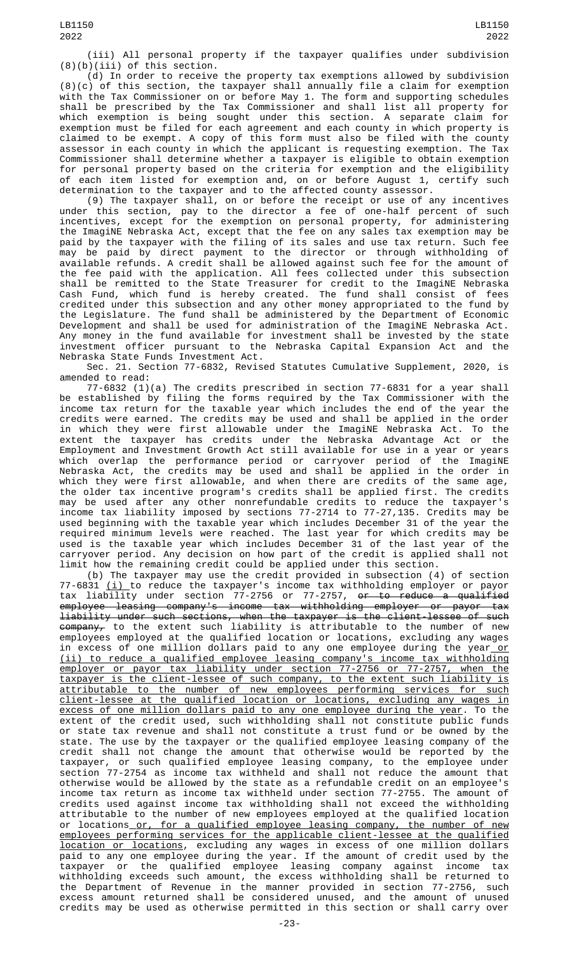(iii) All personal property if the taxpayer qualifies under subdivision (8)(b)(iii) of this section.

(d) In order to receive the property tax exemptions allowed by subdivision (8)(c) of this section, the taxpayer shall annually file a claim for exemption with the Tax Commissioner on or before May 1. The form and supporting schedules shall be prescribed by the Tax Commissioner and shall list all property for which exemption is being sought under this section. A separate claim for exemption must be filed for each agreement and each county in which property is claimed to be exempt. A copy of this form must also be filed with the county assessor in each county in which the applicant is requesting exemption. The Tax Commissioner shall determine whether a taxpayer is eligible to obtain exemption for personal property based on the criteria for exemption and the eligibility of each item listed for exemption and, on or before August 1, certify such determination to the taxpayer and to the affected county assessor.

(9) The taxpayer shall, on or before the receipt or use of any incentives under this section, pay to the director a fee of one-half percent of such incentives, except for the exemption on personal property, for administering the ImagiNE Nebraska Act, except that the fee on any sales tax exemption may be paid by the taxpayer with the filing of its sales and use tax return. Such fee may be paid by direct payment to the director or through withholding of available refunds. A credit shall be allowed against such fee for the amount of the fee paid with the application. All fees collected under this subsection shall be remitted to the State Treasurer for credit to the ImagiNE Nebraska Cash Fund, which fund is hereby created. The fund shall consist of fees credited under this subsection and any other money appropriated to the fund by the Legislature. The fund shall be administered by the Department of Economic Development and shall be used for administration of the ImagiNE Nebraska Act. Any money in the fund available for investment shall be invested by the state investment officer pursuant to the Nebraska Capital Expansion Act and the Nebraska State Funds Investment Act.

Sec. 21. Section 77-6832, Revised Statutes Cumulative Supplement, 2020, is amended to read:

77-6832 (1)(a) The credits prescribed in section 77-6831 for a year shall be established by filing the forms required by the Tax Commissioner with the income tax return for the taxable year which includes the end of the year the credits were earned. The credits may be used and shall be applied in the order in which they were first allowable under the ImagiNE Nebraska Act. To the extent the taxpayer has credits under the Nebraska Advantage Act or the Employment and Investment Growth Act still available for use in a year or years which overlap the performance period or carryover period of the ImagiNE Nebraska Act, the credits may be used and shall be applied in the order in which they were first allowable, and when there are credits of the same age, the older tax incentive program's credits shall be applied first. The credits may be used after any other nonrefundable credits to reduce the taxpayer's income tax liability imposed by sections 77-2714 to 77-27,135. Credits may be used beginning with the taxable year which includes December 31 of the year the required minimum levels were reached. The last year for which credits may be used is the taxable year which includes December 31 of the last year of the carryover period. Any decision on how part of the credit is applied shall not limit how the remaining credit could be applied under this section.

(b) The taxpayer may use the credit provided in subsection (4) of section 77-6831 <u>(i) </u>to reduce the taxpayer's income tax withholding employer or payor tax liability under section 77-2756 or 77-2757, <del>or to reduce a qualified</del> employee leasing company's income tax withholding employer or payor tax liability under such sections, when the taxpayer is the client-lessee of such company, to the extent such liability is attributable to the number of new employees employed at the qualified location or locations, excluding any wages in excess of one million dollars paid to any one employee during the year<u> or</u> (ii) to reduce a qualified employee leasing company's income tax withholding employer or payor tax liability under section 77-2756 or 77-2757, when the taxpayer is the client-lessee of such company, to the extent such liability is attributable to the number of new employees performing services for such client-lessee at the qualified location or locations, excluding any wages in <u>excess of one million dollars paid to any one employee during the year</u>. To the extent of the credit used, such withholding shall not constitute public funds or state tax revenue and shall not constitute a trust fund or be owned by the state. The use by the taxpayer or the qualified employee leasing company of the credit shall not change the amount that otherwise would be reported by the taxpayer, or such qualified employee leasing company, to the employee under section 77-2754 as income tax withheld and shall not reduce the amount that otherwise would be allowed by the state as a refundable credit on an employee's income tax return as income tax withheld under section 77-2755. The amount of credits used against income tax withholding shall not exceed the withholding attributable to the number of new employees employed at the qualified location or locations<u> or, for a qualified employee leasing company, the number of new</u> employees performing services for the applicable client-lessee at the qualified location or locations, excluding any wages in excess of one million dollars paid to any one employee during the year. If the amount of credit used by the taxpayer or the qualified employee leasing company against income tax withholding exceeds such amount, the excess withholding shall be returned to the Department of Revenue in the manner provided in section 77-2756, such excess amount returned shall be considered unused, and the amount of unused credits may be used as otherwise permitted in this section or shall carry over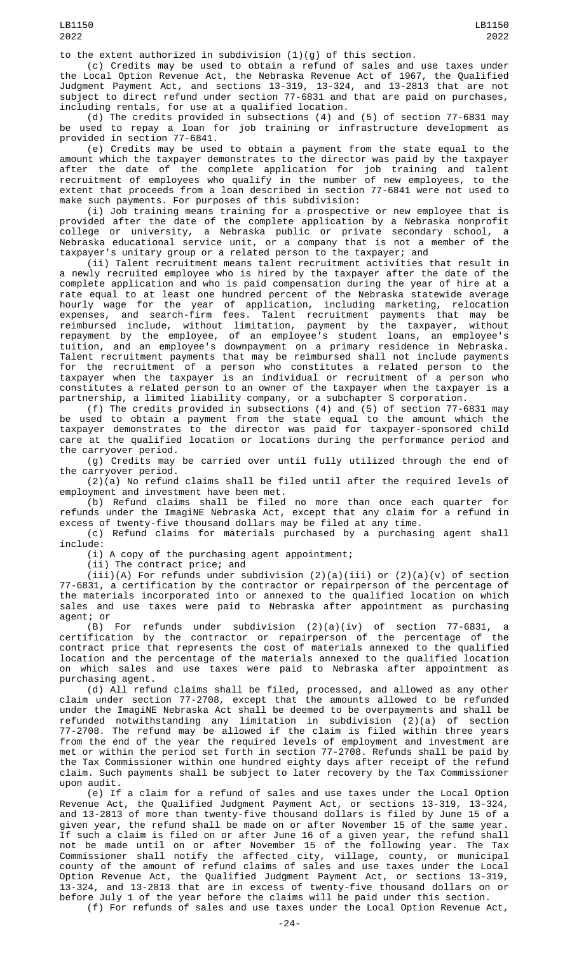to the extent authorized in subdivision  $(1)(g)$  of this section.

(c) Credits may be used to obtain a refund of sales and use taxes under the Local Option Revenue Act, the Nebraska Revenue Act of 1967, the Qualified Judgment Payment Act, and sections 13-319, 13-324, and 13-2813 that are not subject to direct refund under section 77-6831 and that are paid on purchases, including rentals, for use at a qualified location.

(d) The credits provided in subsections (4) and (5) of section 77-6831 may be used to repay a loan for job training or infrastructure development as provided in section 77-6841.

(e) Credits may be used to obtain a payment from the state equal to the amount which the taxpayer demonstrates to the director was paid by the taxpayer after the date of the complete application for job training and talent recruitment of employees who qualify in the number of new employees, to the extent that proceeds from a loan described in section 77-6841 were not used to make such payments. For purposes of this subdivision:

(i) Job training means training for a prospective or new employee that is provided after the date of the complete application by a Nebraska nonprofit college or university, a Nebraska public or private secondary school, a Nebraska educational service unit, or a company that is not a member of the taxpayer's unitary group or a related person to the taxpayer; and

(ii) Talent recruitment means talent recruitment activities that result in a newly recruited employee who is hired by the taxpayer after the date of the complete application and who is paid compensation during the year of hire at a rate equal to at least one hundred percent of the Nebraska statewide average hourly wage for the year of application, including marketing, relocation expenses, and search-firm fees. Talent recruitment payments that may be reimbursed include, without limitation, payment by the taxpayer, without repayment by the employee, of an employee's student loans, an employee's tuition, and an employee's downpayment on a primary residence in Nebraska. Talent recruitment payments that may be reimbursed shall not include payments for the recruitment of a person who constitutes a related person to the taxpayer when the taxpayer is an individual or recruitment of a person who constitutes a related person to an owner of the taxpayer when the taxpayer is a partnership, a limited liability company, or a subchapter S corporation.

(f) The credits provided in subsections (4) and (5) of section 77-6831 may be used to obtain a payment from the state equal to the amount which the taxpayer demonstrates to the director was paid for taxpayer-sponsored child care at the qualified location or locations during the performance period and the carryover period.

(g) Credits may be carried over until fully utilized through the end of the carryover period.

 $(2)(a)$  No refund claims shall be filed until after the required levels of employment and investment have been met.

(b) Refund claims shall be filed no more than once each quarter for refunds under the ImagiNE Nebraska Act, except that any claim for a refund in excess of twenty-five thousand dollars may be filed at any time.

(c) Refund claims for materials purchased by a purchasing agent shall include:

(i) A copy of the purchasing agent appointment;

(ii) The contract price; and

 $(iii)(A)$  For refunds under subdivision  $(2)(a)(iii)$  or  $(2)(a)(v)$  of section 77-6831, a certification by the contractor or repairperson of the percentage of the materials incorporated into or annexed to the qualified location on which sales and use taxes were paid to Nebraska after appointment as purchasing agent; or

(B) For refunds under subdivision (2)(a)(iv) of section 77-6831, a certification by the contractor or repairperson of the percentage of the contract price that represents the cost of materials annexed to the qualified location and the percentage of the materials annexed to the qualified location on which sales and use taxes were paid to Nebraska after appointment as purchasing agent.

(d) All refund claims shall be filed, processed, and allowed as any other claim under section 77-2708, except that the amounts allowed to be refunded under the ImagiNE Nebraska Act shall be deemed to be overpayments and shall be refunded notwithstanding any limitation in subdivision (2)(a) of section 77-2708. The refund may be allowed if the claim is filed within three years from the end of the year the required levels of employment and investment are met or within the period set forth in section 77-2708. Refunds shall be paid by the Tax Commissioner within one hundred eighty days after receipt of the refund claim. Such payments shall be subject to later recovery by the Tax Commissioner upon audit.

(e) If a claim for a refund of sales and use taxes under the Local Option Revenue Act, the Qualified Judgment Payment Act, or sections 13-319, 13-324, and 13-2813 of more than twenty-five thousand dollars is filed by June 15 of a given year, the refund shall be made on or after November 15 of the same year. If such a claim is filed on or after June 16 of a given year, the refund shall not be made until on or after November 15 of the following year. The Tax Commissioner shall notify the affected city, village, county, or municipal county of the amount of refund claims of sales and use taxes under the Local Option Revenue Act, the Qualified Judgment Payment Act, or sections 13-319, 13-324, and 13-2813 that are in excess of twenty-five thousand dollars on or before July 1 of the year before the claims will be paid under this section. (f) For refunds of sales and use taxes under the Local Option Revenue Act,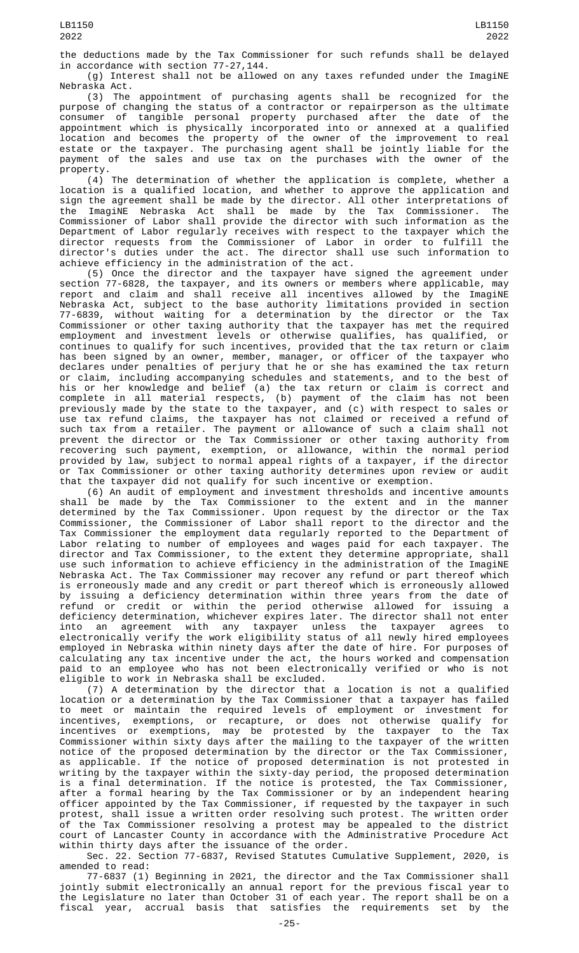the deductions made by the Tax Commissioner for such refunds shall be delayed in accordance with section 77-27,144.

(g) Interest shall not be allowed on any taxes refunded under the ImagiNE Nebraska Act.

(3) The appointment of purchasing agents shall be recognized for the purpose of changing the status of a contractor or repairperson as the ultimate consumer of tangible personal property purchased after the date of the appointment which is physically incorporated into or annexed at a qualified location and becomes the property of the owner of the improvement to real estate or the taxpayer. The purchasing agent shall be jointly liable for the payment of the sales and use tax on the purchases with the owner of the property.

(4) The determination of whether the application is complete, whether a location is a qualified location, and whether to approve the application and sign the agreement shall be made by the director. All other interpretations of the ImagiNE Nebraska Act shall be made by the Tax Commissioner. The Commissioner of Labor shall provide the director with such information as the Department of Labor regularly receives with respect to the taxpayer which the director requests from the Commissioner of Labor in order to fulfill the director's duties under the act. The director shall use such information to achieve efficiency in the administration of the act.

(5) Once the director and the taxpayer have signed the agreement under section 77-6828, the taxpayer, and its owners or members where applicable, may report and claim and shall receive all incentives allowed by the ImagiNE Nebraska Act, subject to the base authority limitations provided in section 77-6839, without waiting for a determination by the director or the Tax Commissioner or other taxing authority that the taxpayer has met the required employment and investment levels or otherwise qualifies, has qualified, or continues to qualify for such incentives, provided that the tax return or claim has been signed by an owner, member, manager, or officer of the taxpayer who declares under penalties of perjury that he or she has examined the tax return or claim, including accompanying schedules and statements, and to the best of his or her knowledge and belief (a) the tax return or claim is correct and complete in all material respects, (b) payment of the claim has not been previously made by the state to the taxpayer, and (c) with respect to sales or use tax refund claims, the taxpayer has not claimed or received a refund of such tax from a retailer. The payment or allowance of such a claim shall not prevent the director or the Tax Commissioner or other taxing authority from recovering such payment, exemption, or allowance, within the normal period provided by law, subject to normal appeal rights of a taxpayer, if the director or Tax Commissioner or other taxing authority determines upon review or audit that the taxpayer did not qualify for such incentive or exemption.

(6) An audit of employment and investment thresholds and incentive amounts shall be made by the Tax Commissioner to the extent and in the manner determined by the Tax Commissioner. Upon request by the director or the Tax Commissioner, the Commissioner of Labor shall report to the director and the Tax Commissioner the employment data regularly reported to the Department of Labor relating to number of employees and wages paid for each taxpayer. director and Tax Commissioner, to the extent they determine appropriate, shall use such information to achieve efficiency in the administration of the ImagiNE Nebraska Act. The Tax Commissioner may recover any refund or part thereof which is erroneously made and any credit or part thereof which is erroneously allowed by issuing a deficiency determination within three years from the date of refund or credit or within the period otherwise allowed for issuing a deficiency determination, whichever expires later. The director shall not enter into an agreement with any taxpayer unless the taxpayer agrees to electronically verify the work eligibility status of all newly hired employees employed in Nebraska within ninety days after the date of hire. For purposes of calculating any tax incentive under the act, the hours worked and compensation paid to an employee who has not been electronically verified or who is not eligible to work in Nebraska shall be excluded.

(7) A determination by the director that a location is not a qualified location or a determination by the Tax Commissioner that a taxpayer has failed to meet or maintain the required levels of employment or investment for incentives, exemptions, or recapture, or does not otherwise qualify for incentives or exemptions, may be protested by the taxpayer to the Tax Commissioner within sixty days after the mailing to the taxpayer of the written notice of the proposed determination by the director or the Tax Commissioner, as applicable. If the notice of proposed determination is not protested in writing by the taxpayer within the sixty-day period, the proposed determination is a final determination. If the notice is protested, the Tax Commissioner, after a formal hearing by the Tax Commissioner or by an independent hearing officer appointed by the Tax Commissioner, if requested by the taxpayer in such protest, shall issue a written order resolving such protest. The written order of the Tax Commissioner resolving a protest may be appealed to the district court of Lancaster County in accordance with the Administrative Procedure Act within thirty days after the issuance of the order.

Sec. 22. Section 77-6837, Revised Statutes Cumulative Supplement, 2020, is amended to read:

77-6837 (1) Beginning in 2021, the director and the Tax Commissioner shall jointly submit electronically an annual report for the previous fiscal year to the Legislature no later than October 31 of each year. The report shall be on a fiscal year, accrual basis that satisfies the requirements set by the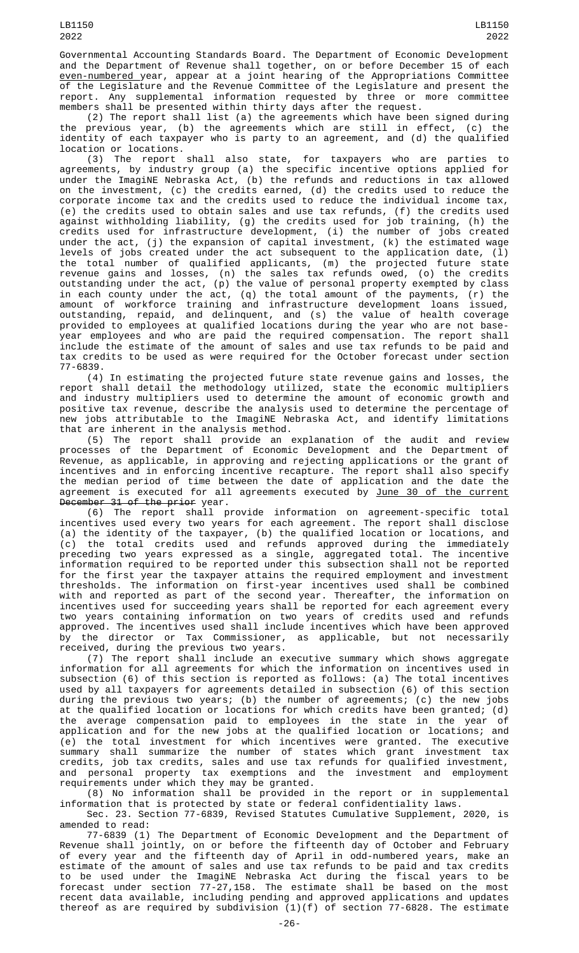Governmental Accounting Standards Board. The Department of Economic Development and the Department of Revenue shall together, on or before December 15 of each even-numbered year, appear at a joint hearing of the Appropriations Committee of the Legislature and the Revenue Committee of the Legislature and present the report. Any supplemental information requested by three or more committee members shall be presented within thirty days after the request.

(2) The report shall list (a) the agreements which have been signed during the previous year, (b) the agreements which are still in effect, (c) the identity of each taxpayer who is party to an agreement, and (d) the qualified location or locations.

(3) The report shall also state, for taxpayers who are parties to agreements, by industry group (a) the specific incentive options applied for under the ImagiNE Nebraska Act, (b) the refunds and reductions in tax allowed on the investment, (c) the credits earned, (d) the credits used to reduce the corporate income tax and the credits used to reduce the individual income tax, (e) the credits used to obtain sales and use tax refunds, (f) the credits used against withholding liability, (g) the credits used for job training, (h) the credits used for infrastructure development, (i) the number of jobs created under the act, (j) the expansion of capital investment, (k) the estimated wage levels of jobs created under the act subsequent to the application date, (l) the total number of qualified applicants, (m) the projected future state revenue gains and losses, (n) the sales tax refunds owed, (o) the credits outstanding under the act, (p) the value of personal property exempted by class in each county under the act, (q) the total amount of the payments, (r) the amount of workforce training and infrastructure development loans issued, outstanding, repaid, and delinquent, and (s) the value of health coverage provided to employees at qualified locations during the year who are not baseyear employees and who are paid the required compensation. The report shall include the estimate of the amount of sales and use tax refunds to be paid and tax credits to be used as were required for the October forecast under section 77-6839.

(4) In estimating the projected future state revenue gains and losses, report shall detail the methodology utilized, state the economic multipliers and industry multipliers used to determine the amount of economic growth and positive tax revenue, describe the analysis used to determine the percentage of new jobs attributable to the ImagiNE Nebraska Act, and identify limitations that are inherent in the analysis method.

(5) The report shall provide an explanation of the audit and review processes of the Department of Economic Development and the Department of Revenue, as applicable, in approving and rejecting applications or the grant of incentives and in enforcing incentive recapture. The report shall also specify the median period of time between the date of application and the date the agreement is executed for all agreements executed by June 30 of the current December 31 of the prior year.

(6) The report shall provide information on agreement-specific total incentives used every two years for each agreement. The report shall disclose (a) the identity of the taxpayer, (b) the qualified location or locations, and (c) the total credits used and refunds approved during the immediately preceding two years expressed as a single, aggregated total. The incentive information required to be reported under this subsection shall not be reported for the first year the taxpayer attains the required employment and investment thresholds. The information on first-year incentives used shall be combined with and reported as part of the second year. Thereafter, the information on incentives used for succeeding years shall be reported for each agreement every two years containing information on two years of credits used and refunds approved. The incentives used shall include incentives which have been approved by the director or Tax Commissioner, as applicable, but not necessarily received, during the previous two years.

(7) The report shall include an executive summary which shows aggregate information for all agreements for which the information on incentives used in subsection (6) of this section is reported as follows: (a) The total incentives used by all taxpayers for agreements detailed in subsection (6) of this section during the previous two years; (b) the number of agreements; (c) the new jobs at the qualified location or locations for which credits have been granted; (d) the average compensation paid to employees in the state in the year of application and for the new jobs at the qualified location or locations; and (e) the total investment for which incentives were granted. The executive summary shall summarize the number of states which grant investment tax credits, job tax credits, sales and use tax refunds for qualified investment, and personal property tax exemptions and the investment and employment requirements under which they may be granted.

(8) No information shall be provided in the report or in supplemental information that is protected by state or federal confidentiality laws.

Sec. 23. Section 77-6839, Revised Statutes Cumulative Supplement, 2020, is amended to read:

77-6839 (1) The Department of Economic Development and the Department of Revenue shall jointly, on or before the fifteenth day of October and February of every year and the fifteenth day of April in odd-numbered years, make an estimate of the amount of sales and use tax refunds to be paid and tax credits to be used under the ImagiNE Nebraska Act during the fiscal years to be forecast under section 77-27,158. The estimate shall be based on the most recent data available, including pending and approved applications and updates thereof as are required by subdivision (1)(f) of section 77-6828. The estimate